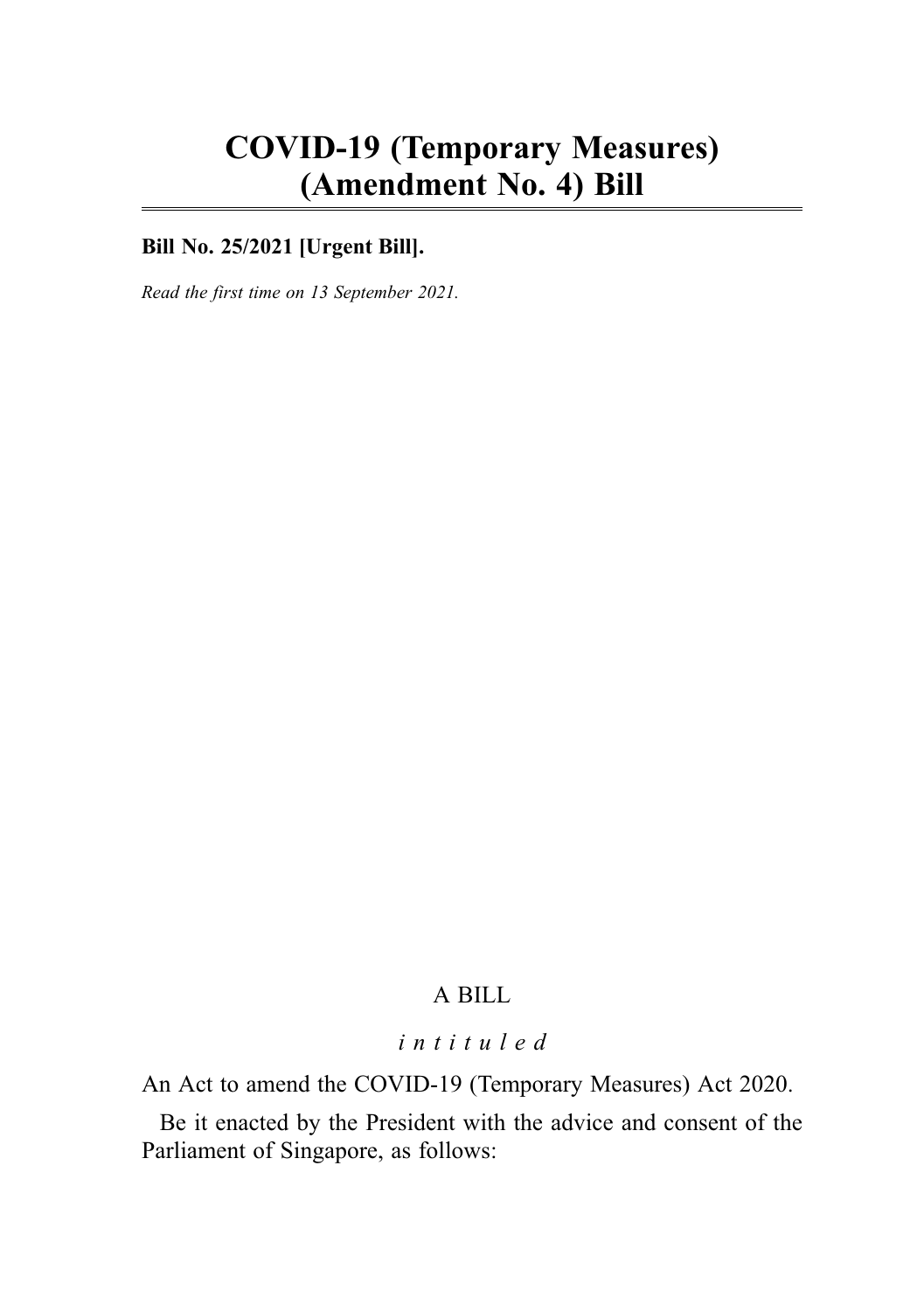# COVID-19 (Temporary Measures) (Amendment No. 4) Bill

## Bill No. 25/2021 **[Urgent Bill]**.

Read the first time on 13 September 2021*.*

# A BILL

#### intituled

An Act to amend the COVID-19 (Temporary Measures) Act 2020.

Be it enacted by the President with the advice and consent of the Parliament of Singapore, as follows: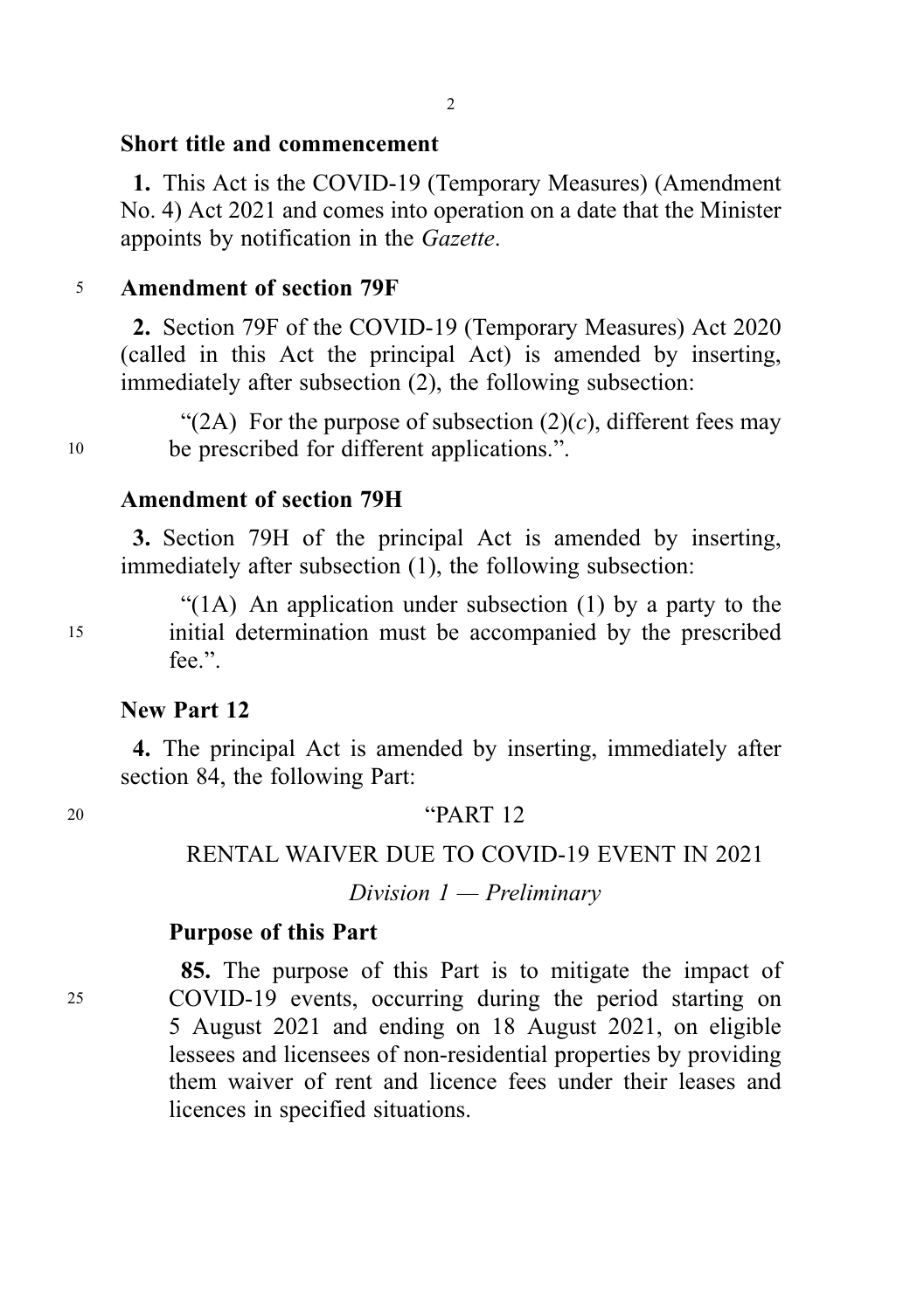# Short title and commencement

1. This Act is the COVID-19 (Temporary Measures) (Amendment No. 4) Act 2021 and comes into operation on a date that the Minister appoints by notification in the Gazette.

# <sup>5</sup> Amendment of section 79F

2. Section 79F of the COVID-19 (Temporary Measures) Act 2020 (called in this Act the principal Act) is amended by inserting, immediately after subsection (2), the following subsection:

"(2A) For the purpose of subsection  $(2)(c)$ , different fees may <sup>10</sup> be prescribed for different applications.".

# Amendment of section 79H

3. Section 79H of the principal Act is amended by inserting, immediately after subsection (1), the following subsection:

"(1A) An application under subsection (1) by a party to the <sup>15</sup> initial determination must be accompanied by the prescribed fee.".

# New Part 12

4. The principal Act is amended by inserting, immediately after section 84, the following Part:

20 **"PART 12** 

# RENTAL WAIVER DUE TO COVID-19 EVENT IN 2021

Division  $1$  — Preliminary

#### Purpose of this Part

85. The purpose of this Part is to mitigate the impact of <sup>25</sup> COVID-19 events, occurring during the period starting on 5 August 2021 and ending on 18 August 2021, on eligible lessees and licensees of non-residential properties by providing them waiver of rent and licence fees under their leases and licences in specified situations.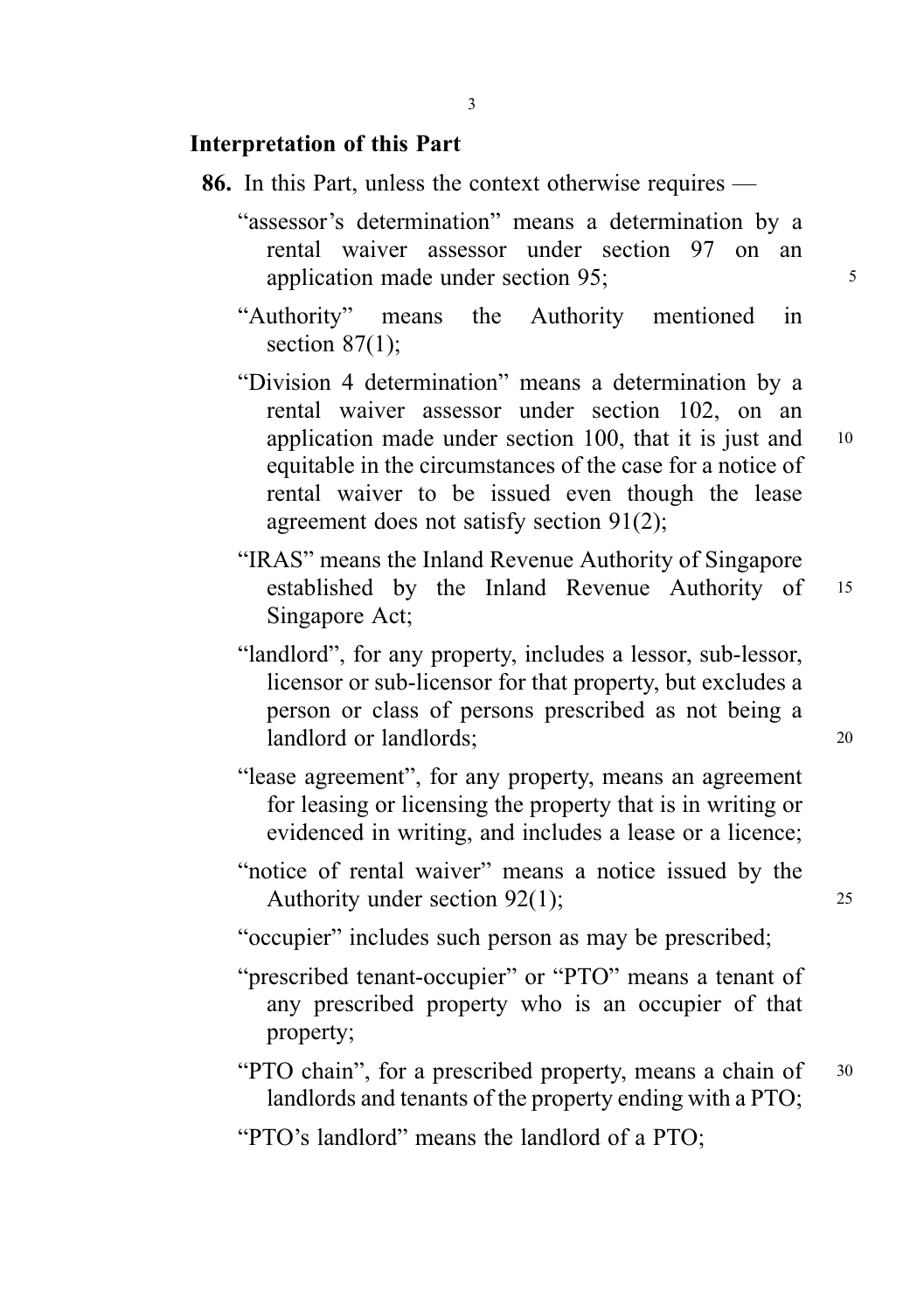## Interpretation of this Part

- 86. In this Part, unless the context otherwise requires
	- "assessor's determination" means a determination by a rental waiver assessor under section 97 on an application made under section 95; 5
	- "Authority" means the Authority mentioned in section  $87(1)$ ;
	- "Division 4 determination" means a determination by a rental waiver assessor under section 102, on an application made under section 100, that it is just and  $10$ equitable in the circumstances of the case for a notice of rental waiver to be issued even though the lease agreement does not satisfy section 91(2);
	- "IRAS" means the Inland Revenue Authority of Singapore established by the Inland Revenue Authority of <sup>15</sup> Singapore Act;
	- "landlord", for any property, includes a lessor, sub-lessor, licensor or sub-licensor for that property, but excludes a person or class of persons prescribed as not being a landlord or landlords; 20
	- "lease agreement", for any property, means an agreement for leasing or licensing the property that is in writing or evidenced in writing, and includes a lease or a licence;
	- "notice of rental waiver" means a notice issued by the Authority under section 92(1); 25
	- "occupier" includes such person as may be prescribed;
	- "prescribed tenant-occupier" or "PTO" means a tenant of any prescribed property who is an occupier of that property;
	- "PTO chain", for a prescribed property, means a chain of 30 landlords and tenants of the property ending with a PTO;

"PTO's landlord" means the landlord of a PTO;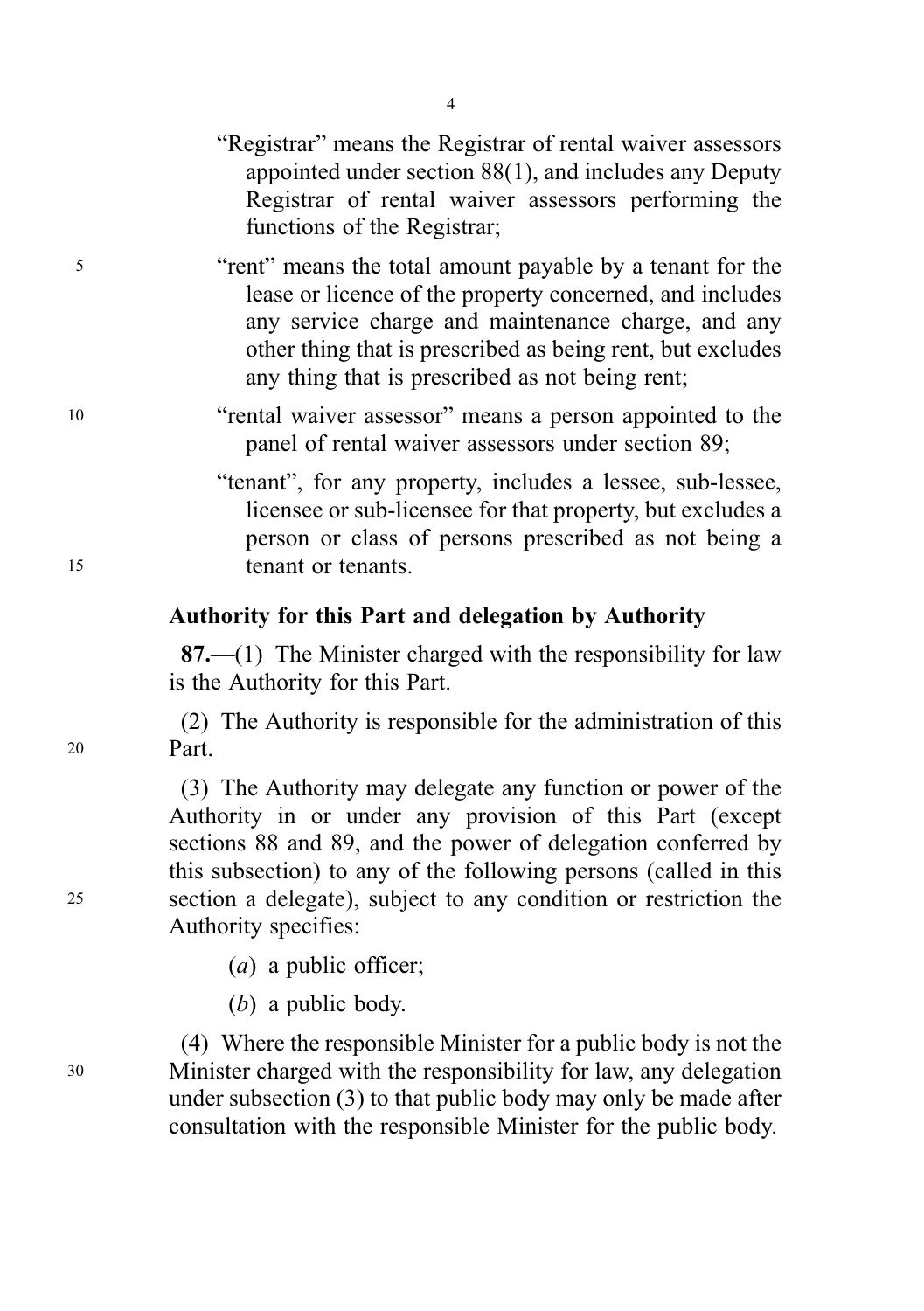|                          | "Registrar" means the Registrar of rental waiver assessors<br>appointed under section $88(1)$ , and includes any Deputy<br>Registrar of rental waiver assessors performing the<br>functions of the Registrar;                                                                                |
|--------------------------|----------------------------------------------------------------------------------------------------------------------------------------------------------------------------------------------------------------------------------------------------------------------------------------------|
| $\overline{\phantom{0}}$ | "rent" means the total amount payable by a tenant for the<br>lease or licence of the property concerned, and includes<br>any service charge and maintenance charge, and any<br>other thing that is prescribed as being rent, but excludes<br>any thing that is prescribed as not being rent; |
| 10                       | "rental waiver assessor" means a person appointed to the<br>panel of rental waiver assessors under section 89;                                                                                                                                                                               |
|                          | "tenant", for any property, includes a lessee, sub-lessee,<br>licensee or sub-licensee for that property, but excludes a<br>person or class of persons prescribed as not being a                                                                                                             |
| 15                       | tenant or tenants.                                                                                                                                                                                                                                                                           |

#### Authority for this Part and delegation by Authority

87.—(1) The Minister charged with the responsibility for law is the Authority for this Part.

(2) The Authority is responsible for the administration of this <sup>20</sup> Part.

(3) The Authority may delegate any function or power of the Authority in or under any provision of this Part (except sections 88 and 89, and the power of delegation conferred by this subsection) to any of the following persons (called in this <sup>25</sup> section a delegate), subject to any condition or restriction the Authority specifies:

- (a) a public officer;
- (b) a public body.

(4) Where the responsible Minister for a public body is not the <sup>30</sup> Minister charged with the responsibility for law, any delegation under subsection (3) to that public body may only be made after consultation with the responsible Minister for the public body.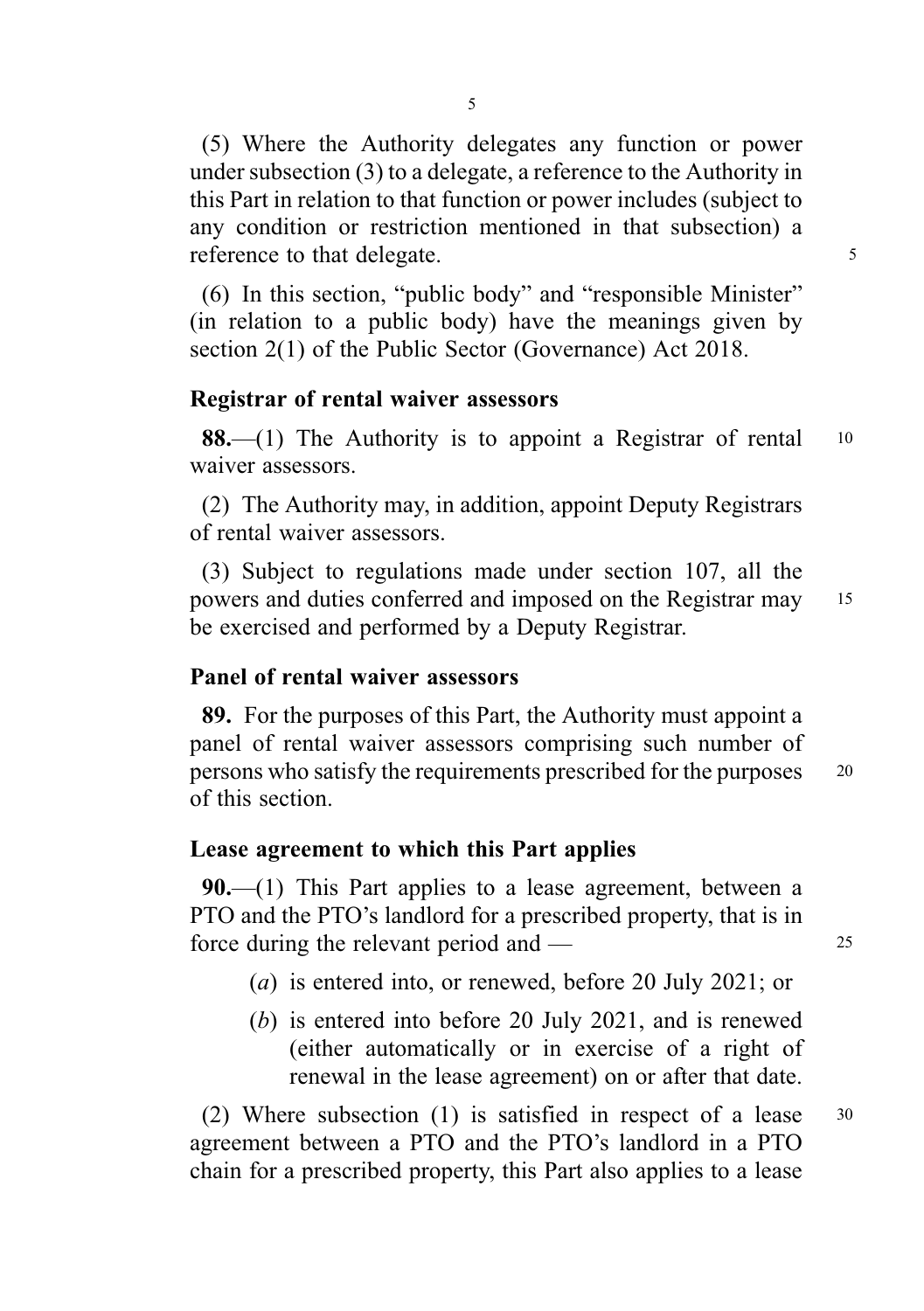(5) Where the Authority delegates any function or power under subsection (3) to a delegate, a reference to the Authority in this Part in relation to that function or power includes (subject to any condition or restriction mentioned in that subsection) a reference to that delegate.

(6) In this section, "public body" and "responsible Minister" (in relation to a public body) have the meanings given by section 2(1) of the Public Sector (Governance) Act 2018.

#### Registrar of rental waiver assessors

**88.**—(1) The Authority is to appoint a Registrar of rental  $10$ waiver assessors.

(2) The Authority may, in addition, appoint Deputy Registrars of rental waiver assessors.

(3) Subject to regulations made under section 107, all the powers and duties conferred and imposed on the Registrar may <sup>15</sup> be exercised and performed by a Deputy Registrar.

#### Panel of rental waiver assessors

89. For the purposes of this Part, the Authority must appoint a panel of rental waiver assessors comprising such number of persons who satisfy the requirements prescribed for the purposes <sup>20</sup> of this section.

#### Lease agreement to which this Part applies

**90.**—(1) This Part applies to a lease agreement, between a PTO and the PTO's landlord for a prescribed property, that is in force during the relevant period and — 25

- (a) is entered into, or renewed, before 20 July 2021; or
- (b) is entered into before 20 July 2021, and is renewed (either automatically or in exercise of a right of renewal in the lease agreement) on or after that date.

(2) Where subsection (1) is satisfied in respect of a lease <sup>30</sup> agreement between a PTO and the PTO's landlord in a PTO chain for a prescribed property, this Part also applies to a lease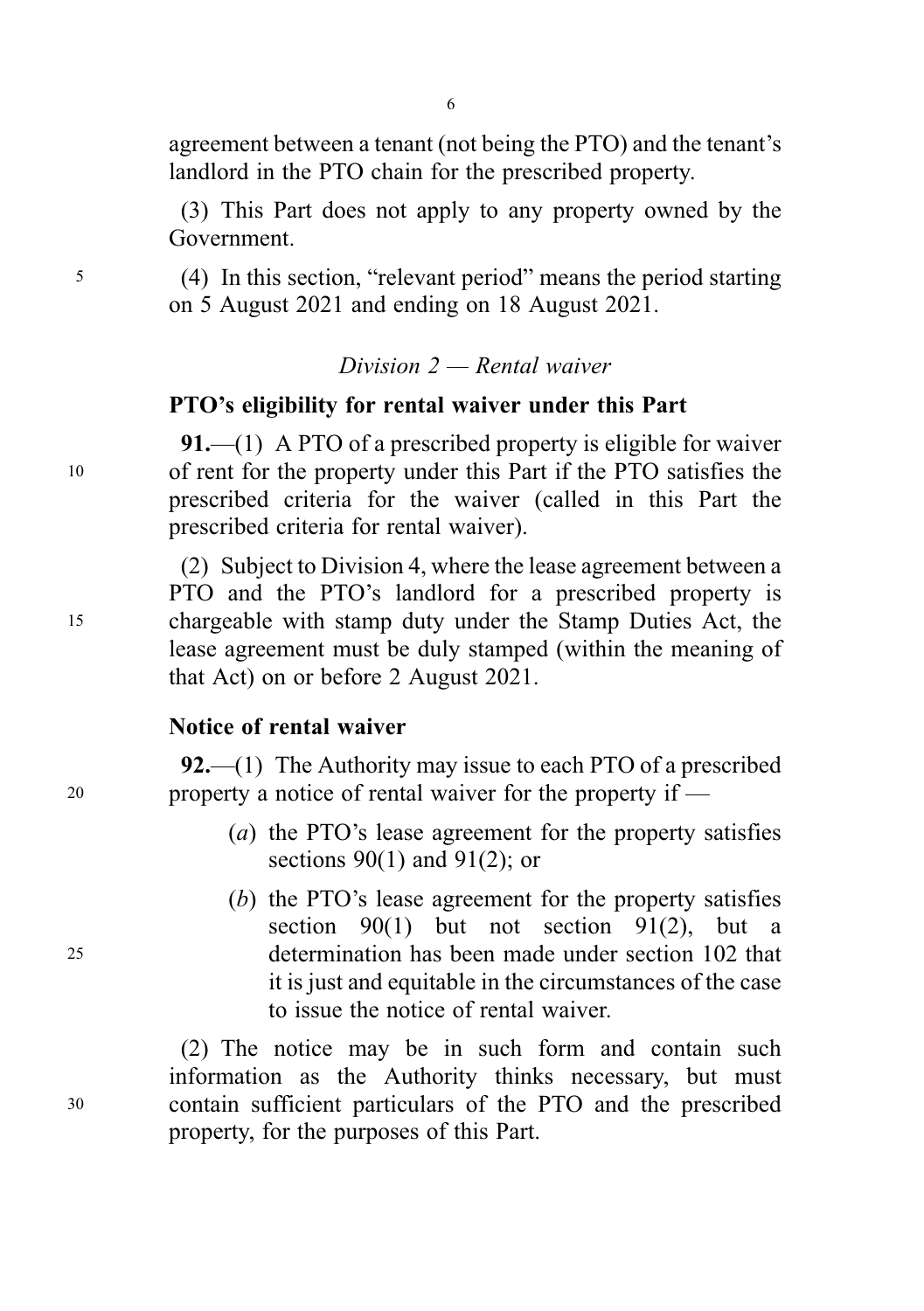agreement between a tenant (not being the PTO) and the tenant's landlord in the PTO chain for the prescribed property.

(3) This Part does not apply to any property owned by the Government.

<sup>5</sup> (4) In this section, "relevant period" means the period starting on 5 August 2021 and ending on 18 August 2021.

 $Division 2 - Rental$  waiver

#### PTO's eligibility for rental waiver under this Part

91.—(1) A PTO of a prescribed property is eligible for waiver <sup>10</sup> of rent for the property under this Part if the PTO satisfies the prescribed criteria for the waiver (called in this Part the prescribed criteria for rental waiver).

(2) Subject to Division 4, where the lease agreement between a PTO and the PTO's landlord for a prescribed property is <sup>15</sup> chargeable with stamp duty under the Stamp Duties Act, the lease agreement must be duly stamped (within the meaning of that Act) on or before 2 August 2021.

#### Notice of rental waiver

92.—(1) The Authority may issue to each PTO of a prescribed <sup>20</sup> property a notice of rental waiver for the property if —

- (a) the PTO's lease agreement for the property satisfies sections  $90(1)$  and  $91(2)$ ; or
- (b) the PTO's lease agreement for the property satisfies section  $90(1)$  but not section  $91(2)$ , but a <sup>25</sup> determination has been made under section 102 that it is just and equitable in the circumstances of the case to issue the notice of rental waiver.

(2) The notice may be in such form and contain such information as the Authority thinks necessary, but must <sup>30</sup> contain sufficient particulars of the PTO and the prescribed property, for the purposes of this Part.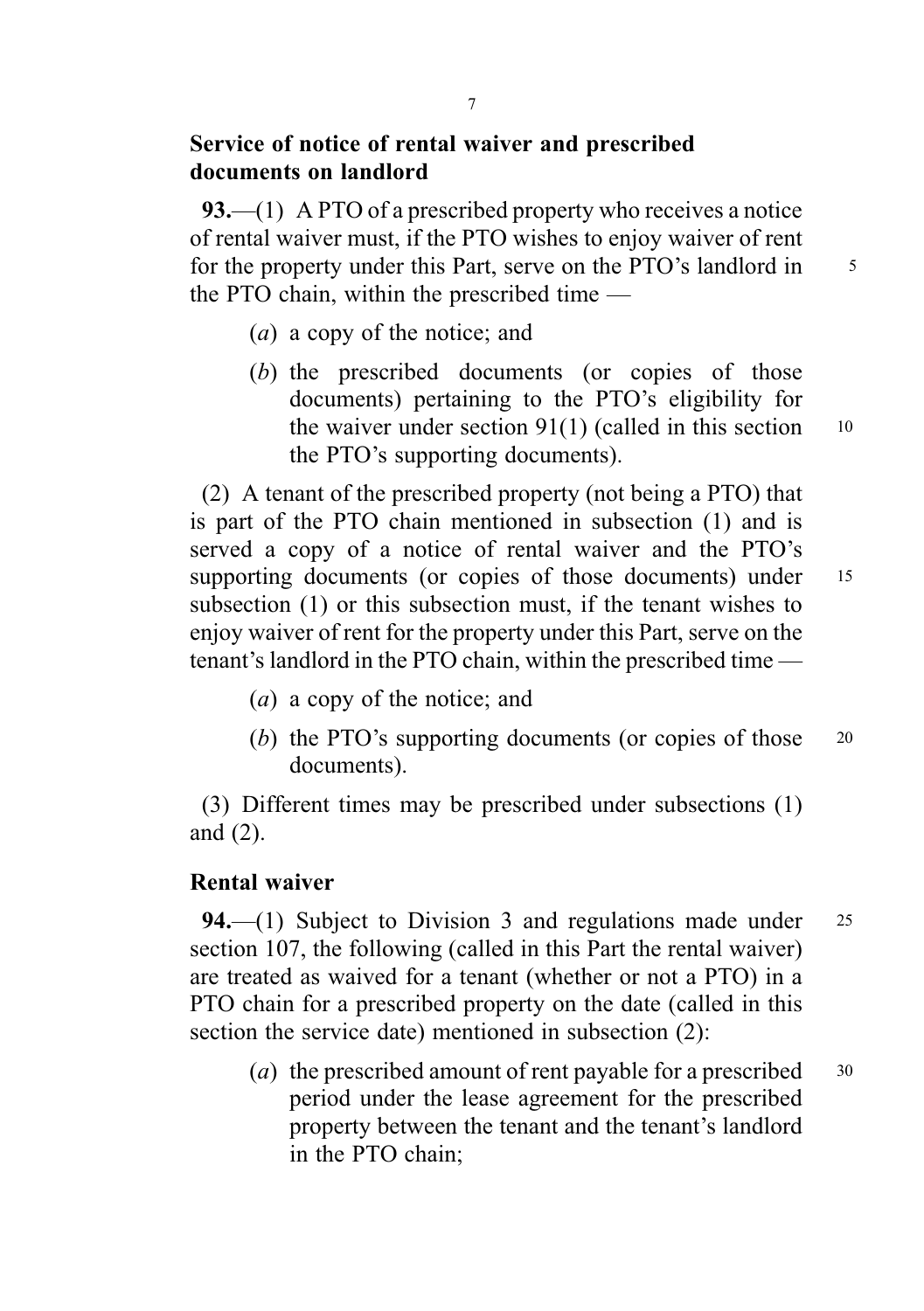# Service of notice of rental waiver and prescribed documents on landlord

93.—(1) A PTO of a prescribed property who receives a notice of rental waiver must, if the PTO wishes to enjoy waiver of rent for the property under this Part, serve on the PTO's landlord in 5 the PTO chain, within the prescribed time —

- (a) a copy of the notice; and
- (b) the prescribed documents (or copies of those documents) pertaining to the PTO's eligibility for the waiver under section  $91(1)$  (called in this section 10 the PTO's supporting documents).

(2) A tenant of the prescribed property (not being a PTO) that is part of the PTO chain mentioned in subsection (1) and is served a copy of a notice of rental waiver and the PTO's supporting documents (or copies of those documents) under 15 subsection (1) or this subsection must, if the tenant wishes to enjoy waiver of rent for the property under this Part, serve on the tenant's landlord in the PTO chain, within the prescribed time —

- (a) a copy of the notice; and
- (b) the PTO's supporting documents (or copies of those 20 documents).

(3) Different times may be prescribed under subsections (1) and (2).

#### Rental waiver

94.—(1) Subject to Division 3 and regulations made under  $25$ section 107, the following (called in this Part the rental waiver) are treated as waived for a tenant (whether or not a PTO) in a PTO chain for a prescribed property on the date (called in this section the service date) mentioned in subsection (2):

(a) the prescribed amount of rent payable for a prescribed  $30$ period under the lease agreement for the prescribed property between the tenant and the tenant's landlord in the PTO chain;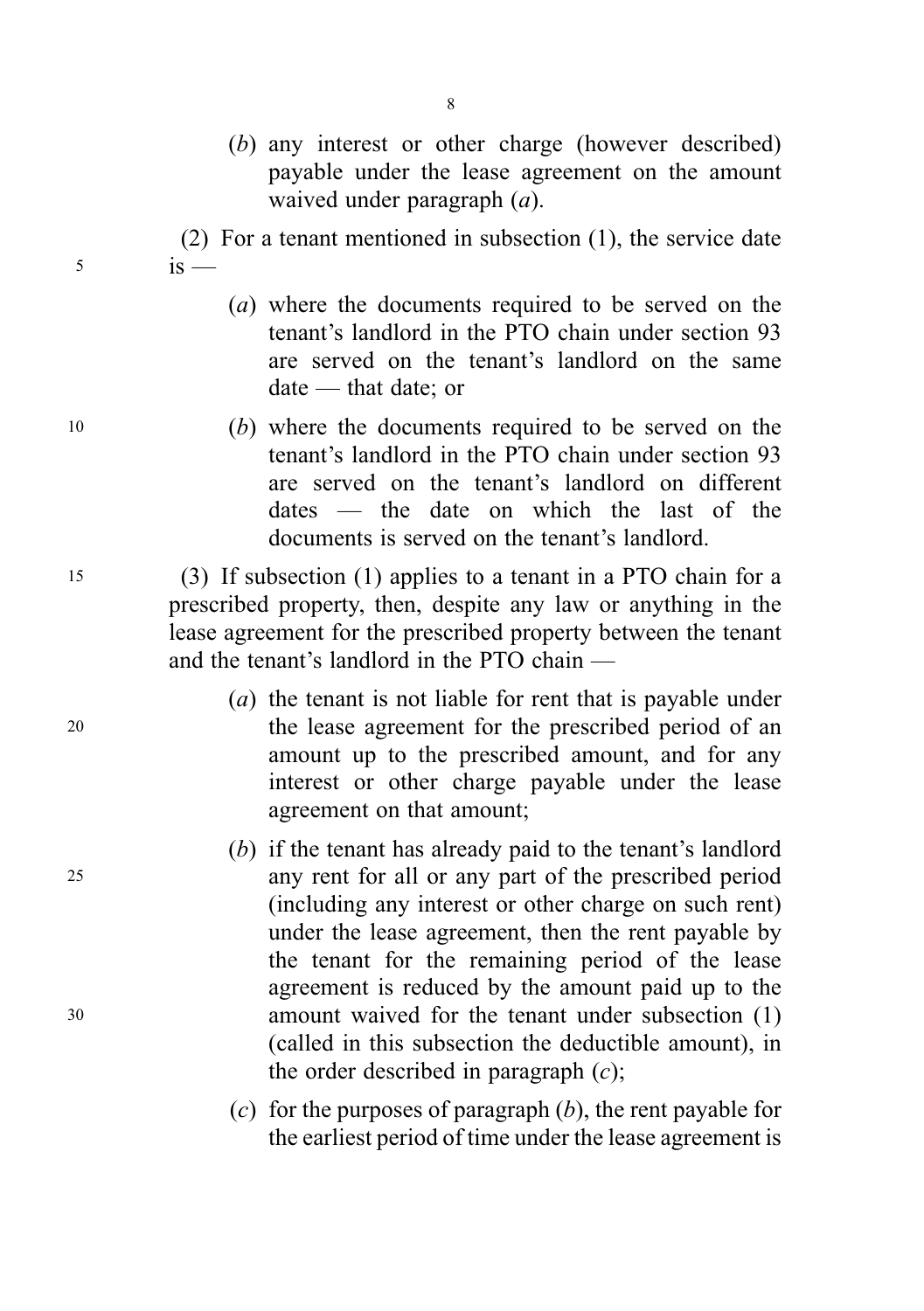- (b) any interest or other charge (however described) payable under the lease agreement on the amount waived under paragraph  $(a)$ .
- (2) For a tenant mentioned in subsection (1), the service date  $5$  is —
	- (a) where the documents required to be served on the tenant's landlord in the PTO chain under section 93 are served on the tenant's landlord on the same date — that date; or
- <sup>10</sup> (b) where the documents required to be served on the tenant's landlord in the PTO chain under section 93 are served on the tenant's landlord on different dates — the date on which the last of the documents is served on the tenant's landlord.

<sup>15</sup> (3) If subsection (1) applies to a tenant in a PTO chain for a prescribed property, then, despite any law or anything in the lease agreement for the prescribed property between the tenant and the tenant's landlord in the PTO chain —

- (a) the tenant is not liable for rent that is payable under <sup>20</sup> the lease agreement for the prescribed period of an amount up to the prescribed amount, and for any interest or other charge payable under the lease agreement on that amount;
- (b) if the tenant has already paid to the tenant's landlord <sup>25</sup> any rent for all or any part of the prescribed period (including any interest or other charge on such rent) under the lease agreement, then the rent payable by the tenant for the remaining period of the lease agreement is reduced by the amount paid up to the <sup>30</sup> amount waived for the tenant under subsection (1) (called in this subsection the deductible amount), in the order described in paragraph  $(c)$ ;
	- (c) for the purposes of paragraph  $(b)$ , the rent payable for the earliest period of time under the lease agreement is

8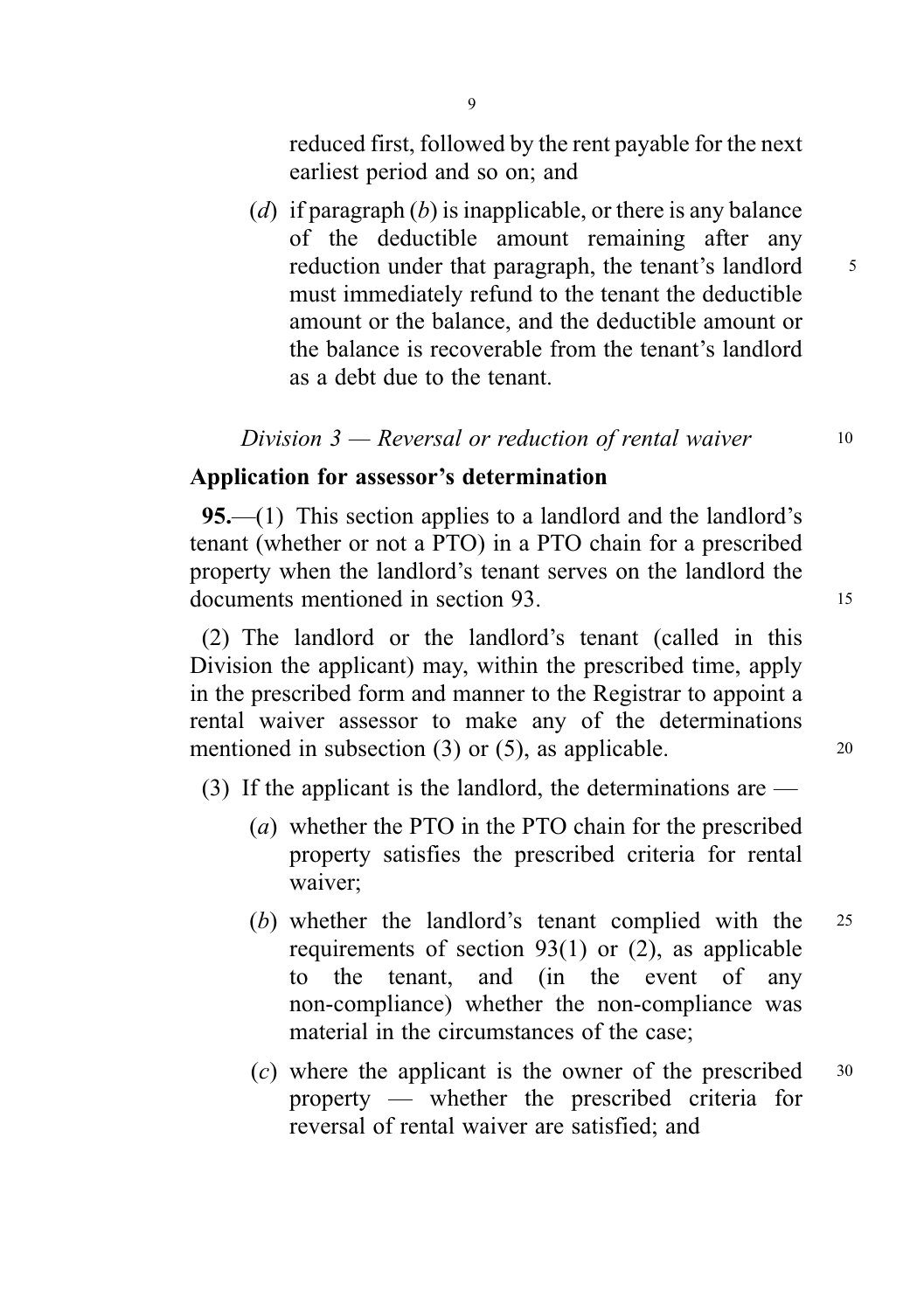reduced first, followed by the rent payable for the next earliest period and so on; and

(d) if paragraph  $(b)$  is inapplicable, or there is any balance of the deductible amount remaining after any reduction under that paragraph, the tenant's landlord 5 must immediately refund to the tenant the deductible amount or the balance, and the deductible amount or the balance is recoverable from the tenant's landlord as a debt due to the tenant.

Division  $3$  — Reversal or reduction of rental waiver  $10$ 

# Application for assessor's determination

95.—(1) This section applies to a landlord and the landlord's tenant (whether or not a PTO) in a PTO chain for a prescribed property when the landlord's tenant serves on the landlord the documents mentioned in section 93. <sup>15</sup>

(2) The landlord or the landlord's tenant (called in this Division the applicant) may, within the prescribed time, apply in the prescribed form and manner to the Registrar to appoint a rental waiver assessor to make any of the determinations mentioned in subsection  $(3)$  or  $(5)$ , as applicable. 20

(3) If the applicant is the landlord, the determinations are —

- (a) whether the PTO in the PTO chain for the prescribed property satisfies the prescribed criteria for rental waiver;
- (b) whether the landlord's tenant complied with the <sup>25</sup> requirements of section 93(1) or (2), as applicable to the tenant, and (in the event of any non-compliance) whether the non-compliance was material in the circumstances of the case;
- (c) where the applicant is the owner of the prescribed  $30$ property — whether the prescribed criteria for reversal of rental waiver are satisfied; and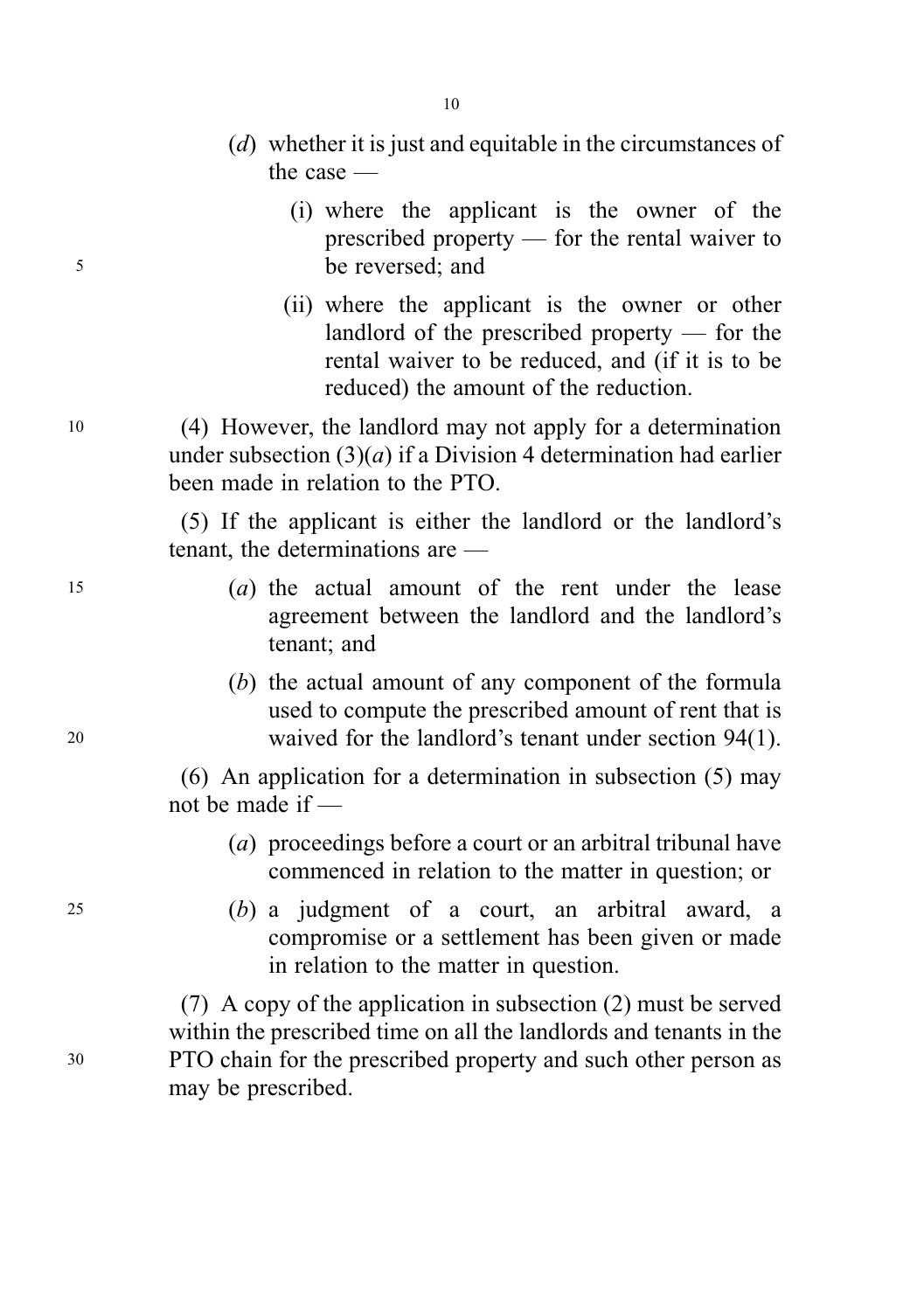- (d) whether it is just and equitable in the circumstances of the case —
- (i) where the applicant is the owner of the prescribed property — for the rental waiver to <sup>5</sup> be reversed; and
	- (ii) where the applicant is the owner or other landlord of the prescribed property — for the rental waiver to be reduced, and (if it is to be reduced) the amount of the reduction.

<sup>10</sup> (4) However, the landlord may not apply for a determination under subsection  $(3)(a)$  if a Division 4 determination had earlier been made in relation to the PTO.

> (5) If the applicant is either the landlord or the landlord's tenant, the determinations are —

- <sup>15</sup> (a) the actual amount of the rent under the lease agreement between the landlord and the landlord's tenant; and
- (b) the actual amount of any component of the formula used to compute the prescribed amount of rent that is <sup>20</sup> waived for the landlord's tenant under section 94(1).

(6) An application for a determination in subsection (5) may not be made if —

- (a) proceedings before a court or an arbitral tribunal have commenced in relation to the matter in question; or
- <sup>25</sup> (b) a judgment of a court, an arbitral award, a compromise or a settlement has been given or made in relation to the matter in question.

(7) A copy of the application in subsection (2) must be served within the prescribed time on all the landlords and tenants in the <sup>30</sup> PTO chain for the prescribed property and such other person as may be prescribed.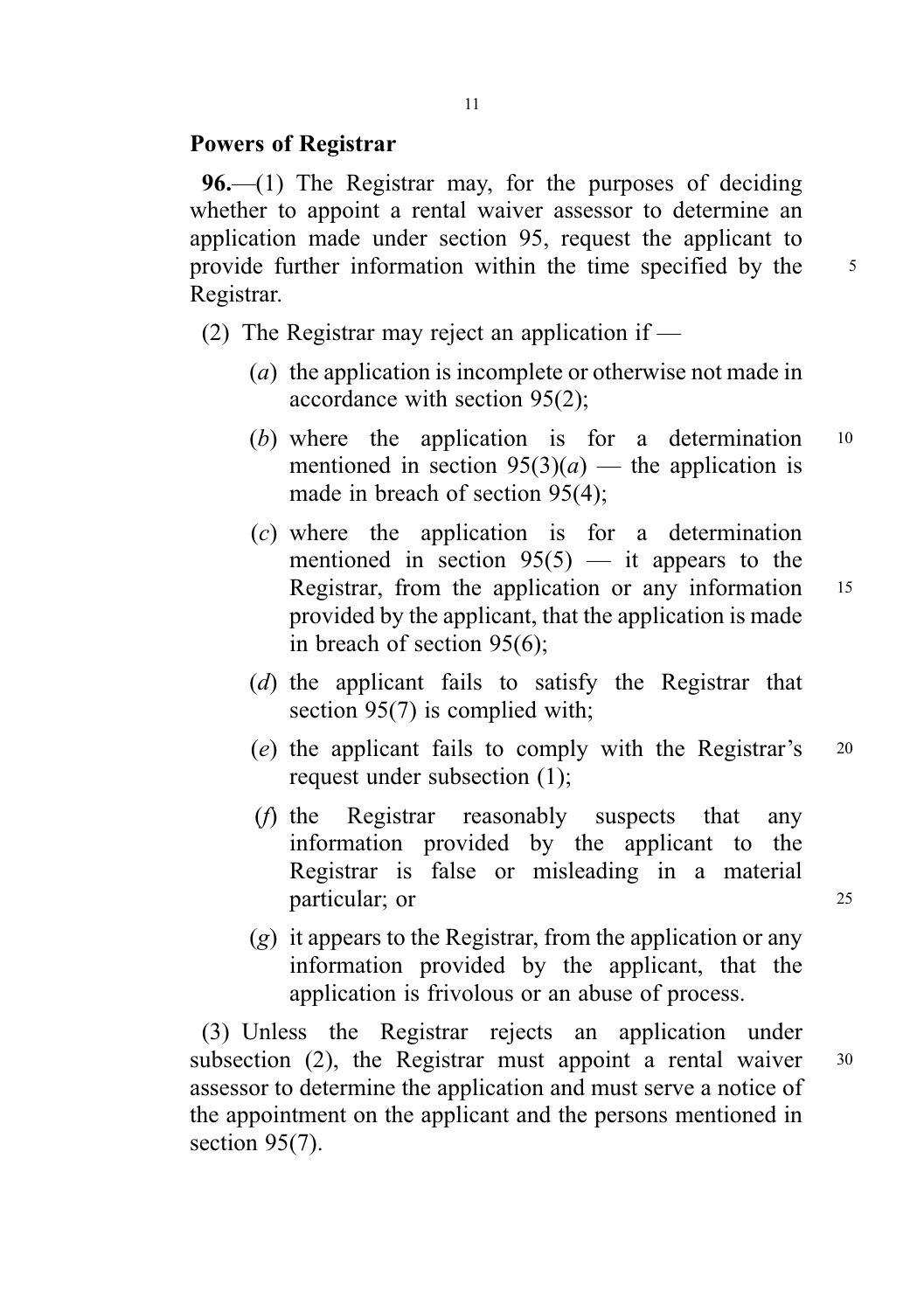#### Powers of Registrar

96.—(1) The Registrar may, for the purposes of deciding whether to appoint a rental waiver assessor to determine an application made under section 95, request the applicant to provide further information within the time specified by the 5 Registrar.

(2) The Registrar may reject an application if  $-$ 

- (a) the application is incomplete or otherwise not made in accordance with section 95(2);
- (b) where the application is for a determination  $10$ mentioned in section  $95(3)(a)$  — the application is made in breach of section 95(4);
- (c) where the application is for a determination mentioned in section  $95(5)$  — it appears to the Registrar, from the application or any information 15 provided by the applicant, that the application is made in breach of section 95(6);
- (d) the applicant fails to satisfy the Registrar that section 95(7) is complied with;
- (e) the applicant fails to comply with the Registrar's <sup>20</sup> request under subsection (1);
- (f) the Registrar reasonably suspects that any information provided by the applicant to the Registrar is false or misleading in a material particular; or 25
- $(g)$  it appears to the Registrar, from the application or any information provided by the applicant, that the application is frivolous or an abuse of process.

(3) Unless the Registrar rejects an application under subsection  $(2)$ , the Registrar must appoint a rental waiver  $30$ assessor to determine the application and must serve a notice of the appointment on the applicant and the persons mentioned in section 95(7).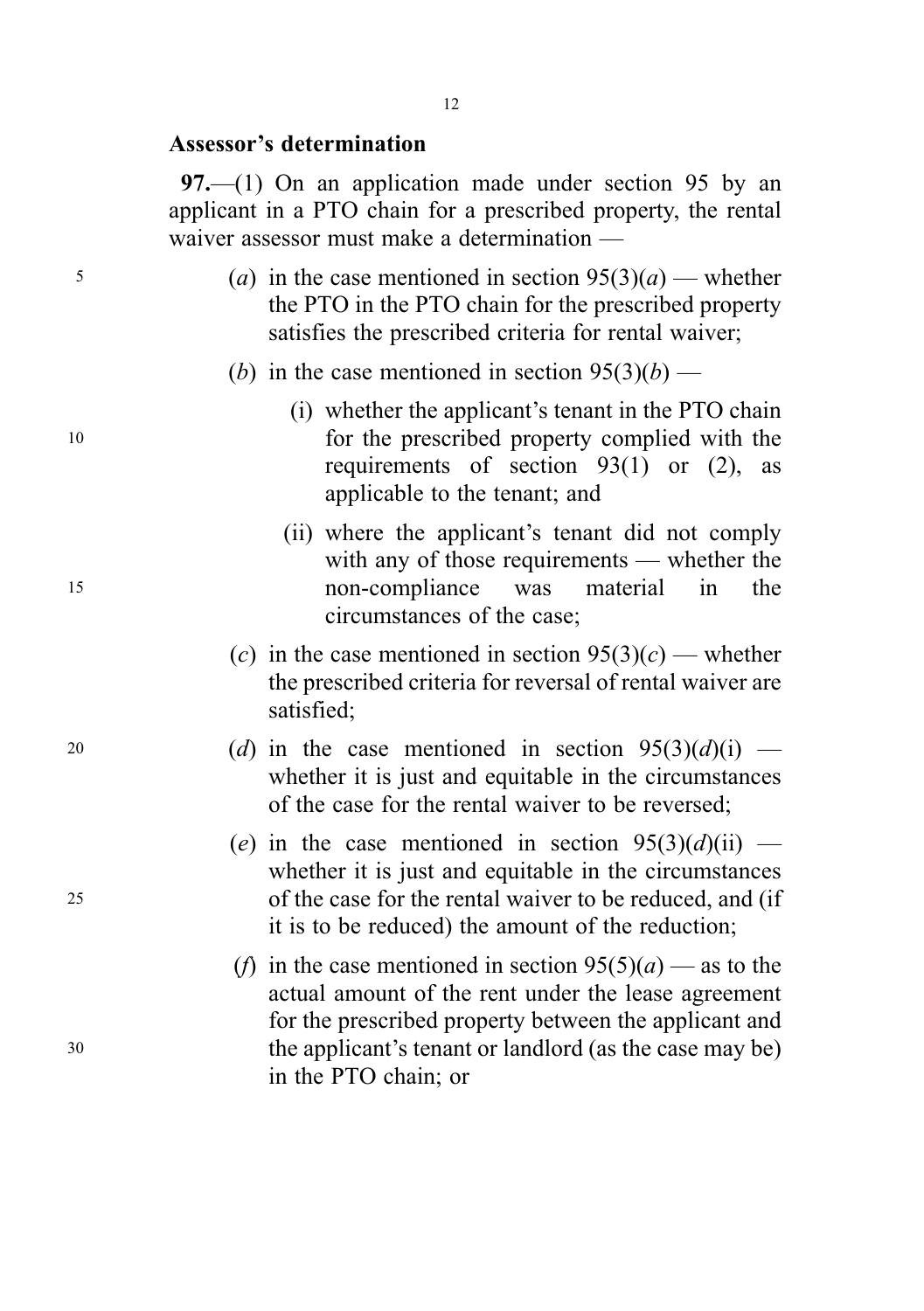#### Assessor's determination

97.—(1) On an application made under section 95 by an applicant in a PTO chain for a prescribed property, the rental waiver assessor must make a determination —

- $(a)$  in the case mentioned in section  $95(3)(a)$  whether the PTO in the PTO chain for the prescribed property satisfies the prescribed criteria for rental waiver;
	- (b) in the case mentioned in section  $95(3)(b)$  —
- (i) whether the applicant's tenant in the PTO chain <sup>10</sup> for the prescribed property complied with the requirements of section  $93(1)$  or  $(2)$ , as applicable to the tenant; and
- (ii) where the applicant's tenant did not comply with any of those requirements — whether the <sup>15</sup> non-compliance was material in the circumstances of the case;
	- (c) in the case mentioned in section  $95(3)(c)$  whether the prescribed criteria for reversal of rental waiver are satisfied;
- 20 (d) in the case mentioned in section  $95(3)(d)(i)$  whether it is just and equitable in the circumstances of the case for the rental waiver to be reversed;
- (e) in the case mentioned in section  $95(3)(d)(ii)$  whether it is just and equitable in the circumstances <sup>25</sup> of the case for the rental waiver to be reduced, and (if it is to be reduced) the amount of the reduction;
- (f) in the case mentioned in section  $95(5)(a)$  as to the actual amount of the rent under the lease agreement for the prescribed property between the applicant and <sup>30</sup> the applicant's tenant or landlord (as the case may be) in the PTO chain; or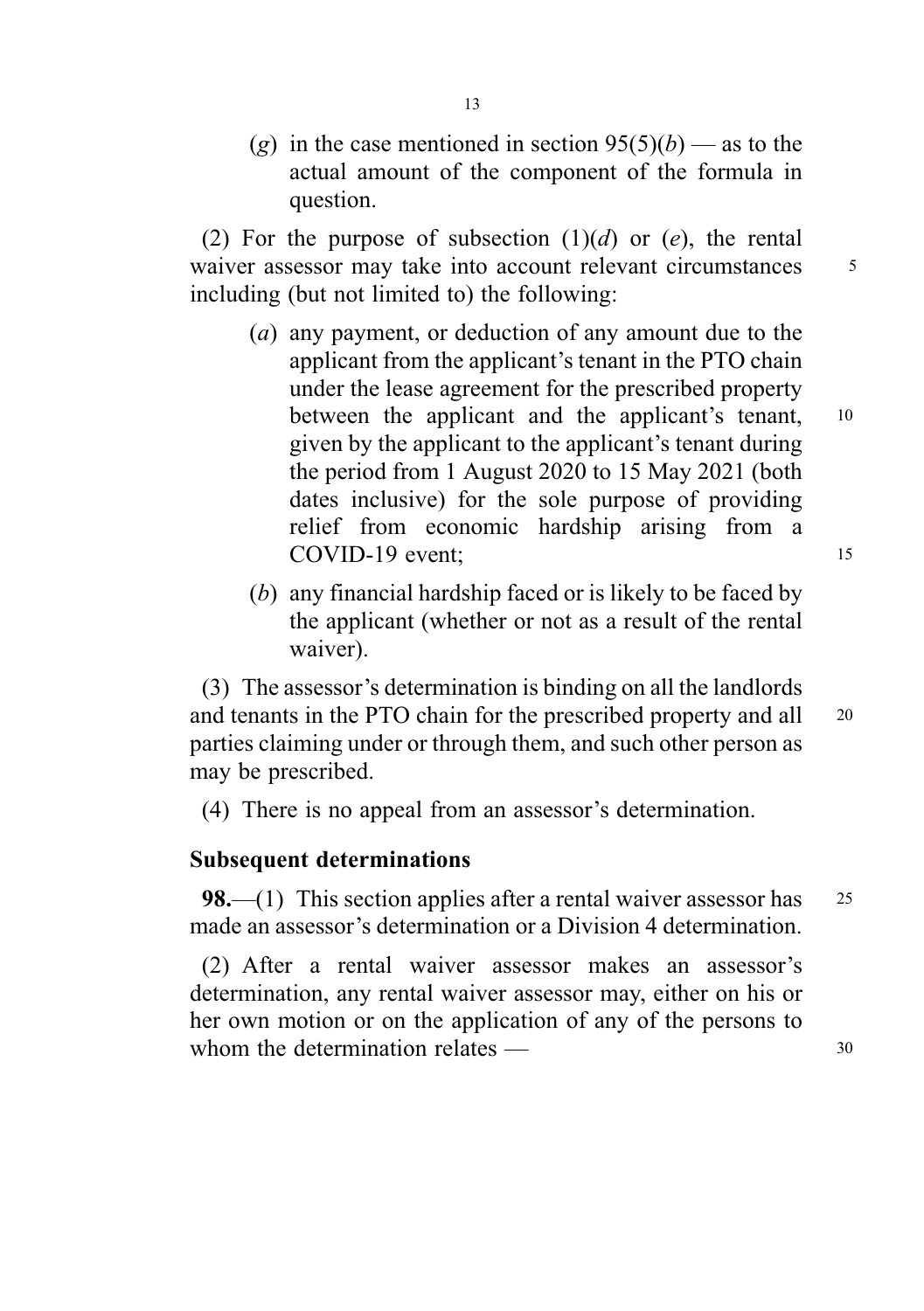(g) in the case mentioned in section  $95(5)(b)$  — as to the actual amount of the component of the formula in question.

(2) For the purpose of subsection  $(1)(d)$  or  $(e)$ , the rental waiver assessor may take into account relevant circumstances  $\frac{5}{5}$ including (but not limited to) the following:

- (a) any payment, or deduction of any amount due to the applicant from the applicant's tenant in the PTO chain under the lease agreement for the prescribed property between the applicant and the applicant's tenant, 10 given by the applicant to the applicant's tenant during the period from 1 August 2020 to 15 May 2021 (both dates inclusive) for the sole purpose of providing relief from economic hardship arising from a COVID-19 event: 15
- (b) any financial hardship faced or is likely to be faced by the applicant (whether or not as a result of the rental waiver).

(3) The assessor's determination is binding on all the landlords and tenants in the PTO chain for the prescribed property and all <sup>20</sup> parties claiming under or through them, and such other person as may be prescribed.

(4) There is no appeal from an assessor's determination.

#### Subsequent determinations

**98.**—(1) This section applies after a rental waiver assessor has  $25$ made an assessor's determination or a Division 4 determination.

(2) After a rental waiver assessor makes an assessor's determination, any rental waiver assessor may, either on his or her own motion or on the application of any of the persons to whom the determination relates — 30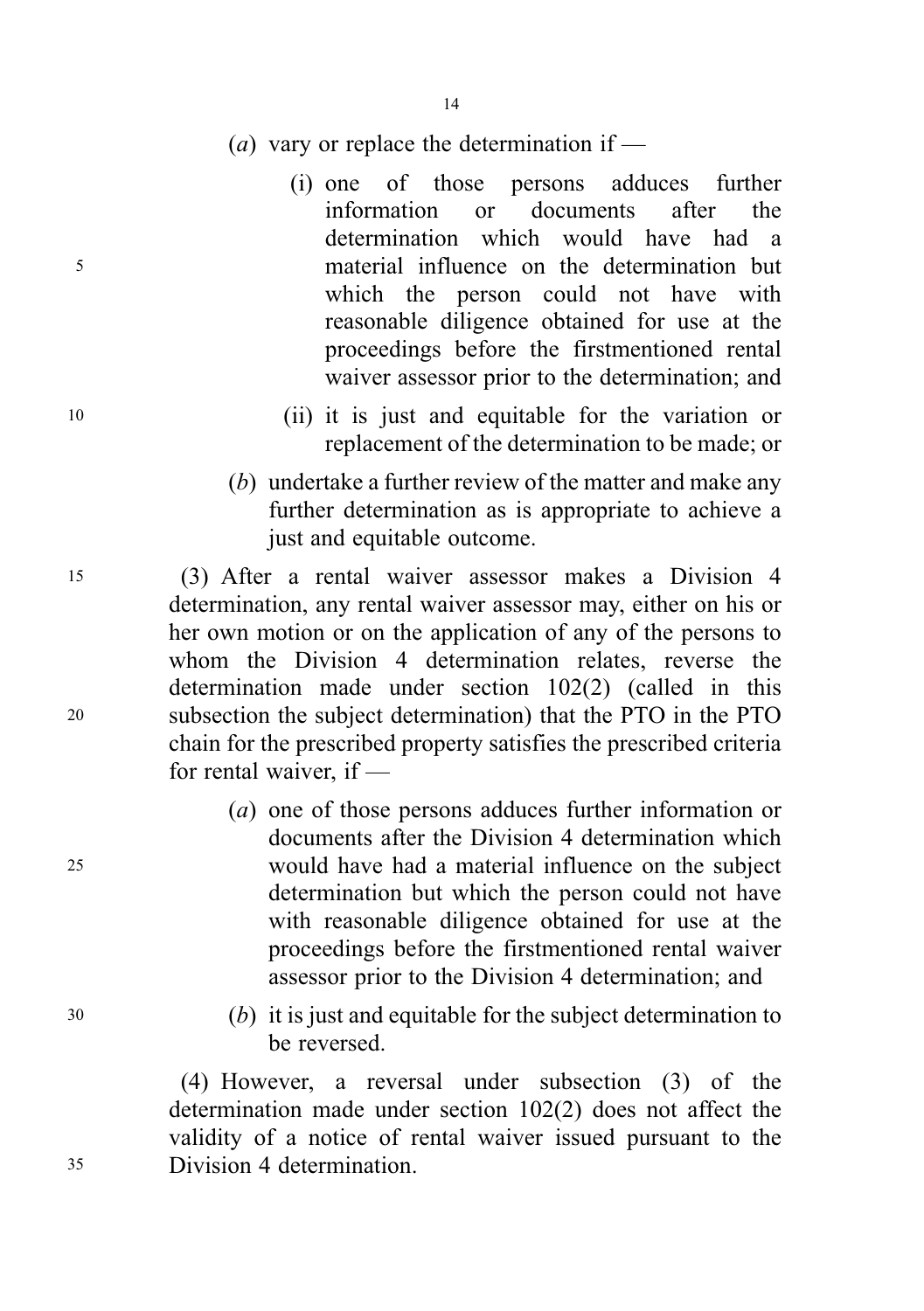- (*a*) vary or replace the determination if —
- (i) one of those persons adduces further information or documents after the determination which would have had a <sup>5</sup> material influence on the determination but which the person could not have with reasonable diligence obtained for use at the proceedings before the firstmentioned rental waiver assessor prior to the determination; and
- <sup>10</sup> (ii) it is just and equitable for the variation or replacement of the determination to be made; or
	- (b) undertake a further review of the matter and make any further determination as is appropriate to achieve a just and equitable outcome.

<sup>15</sup> (3) After a rental waiver assessor makes a Division 4 determination, any rental waiver assessor may, either on his or her own motion or on the application of any of the persons to whom the Division 4 determination relates, reverse the determination made under section 102(2) (called in this <sup>20</sup> subsection the subject determination) that the PTO in the PTO chain for the prescribed property satisfies the prescribed criteria for rental waiver, if —

- (a) one of those persons adduces further information or documents after the Division 4 determination which <sup>25</sup> would have had a material influence on the subject determination but which the person could not have with reasonable diligence obtained for use at the proceedings before the firstmentioned rental waiver assessor prior to the Division 4 determination; and
- <sup>30</sup> (b) it is just and equitable for the subject determination to be reversed.

(4) However, a reversal under subsection (3) of the determination made under section 102(2) does not affect the validity of a notice of rental waiver issued pursuant to the <sup>35</sup> Division 4 determination.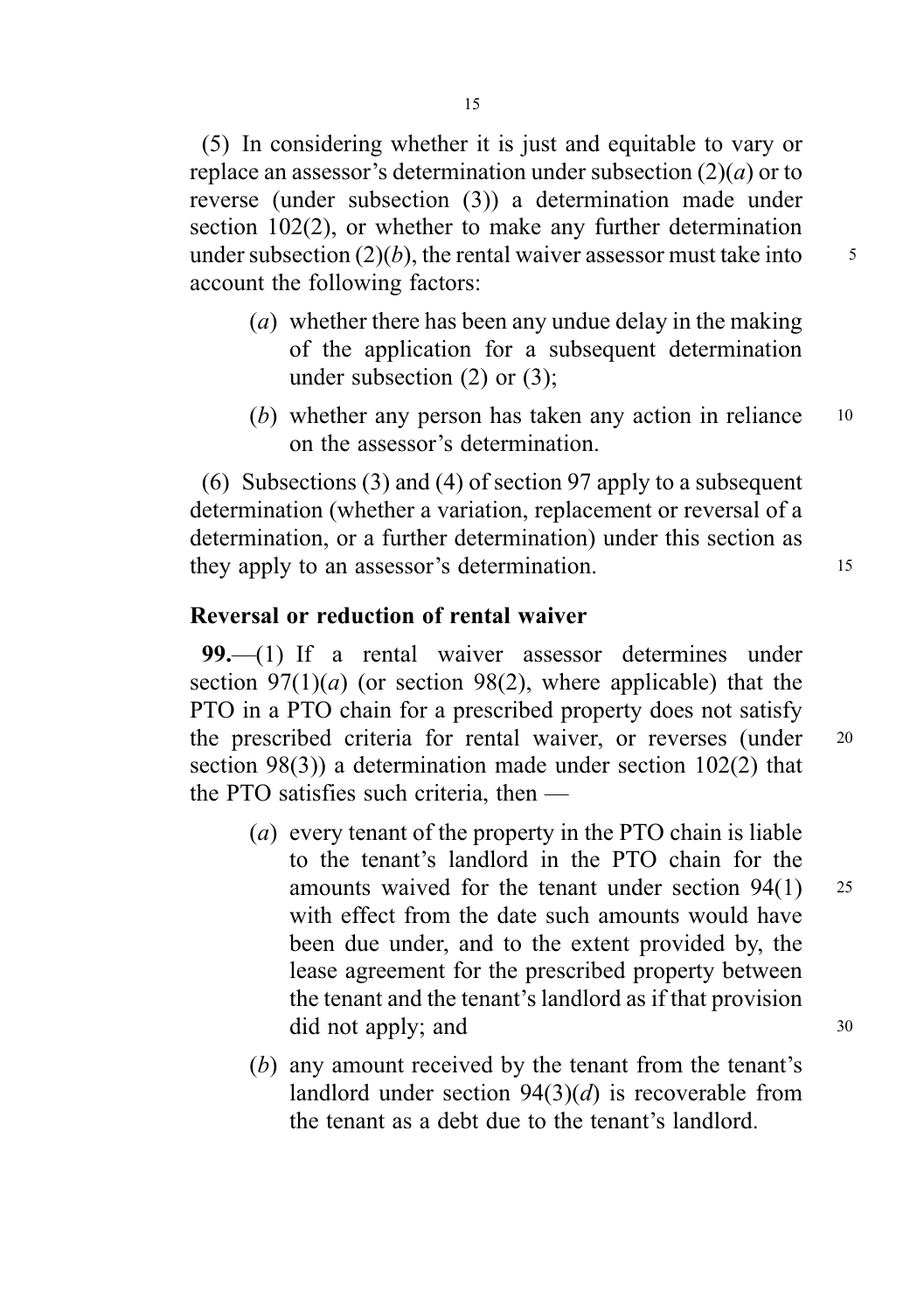(5) In considering whether it is just and equitable to vary or replace an assessor's determination under subsection  $(2)(a)$  or to reverse (under subsection (3)) a determination made under section 102(2), or whether to make any further determination under subsection  $(2)(b)$ , the rental waiver assessor must take into  $\frac{5}{5}$ account the following factors:

- (a) whether there has been any undue delay in the making of the application for a subsequent determination under subsection (2) or (3);
- (b) whether any person has taken any action in reliance 10 on the assessor's determination.

(6) Subsections (3) and (4) of section 97 apply to a subsequent determination (whether a variation, replacement or reversal of a determination, or a further determination) under this section as they apply to an assessor's determination.

#### Reversal or reduction of rental waiver

99.—(1) If a rental waiver assessor determines under section  $97(1)(a)$  (or section 98(2), where applicable) that the PTO in a PTO chain for a prescribed property does not satisfy the prescribed criteria for rental waiver, or reverses (under <sup>20</sup> section 98(3)) a determination made under section 102(2) that the PTO satisfies such criteria, then —

- (a) every tenant of the property in the PTO chain is liable to the tenant's landlord in the PTO chain for the amounts waived for the tenant under section 94(1) <sup>25</sup> with effect from the date such amounts would have been due under, and to the extent provided by, the lease agreement for the prescribed property between the tenant and the tenant's landlord as if that provision did not apply; and 30
- (b) any amount received by the tenant from the tenant's landlord under section  $94(3)(d)$  is recoverable from the tenant as a debt due to the tenant's landlord.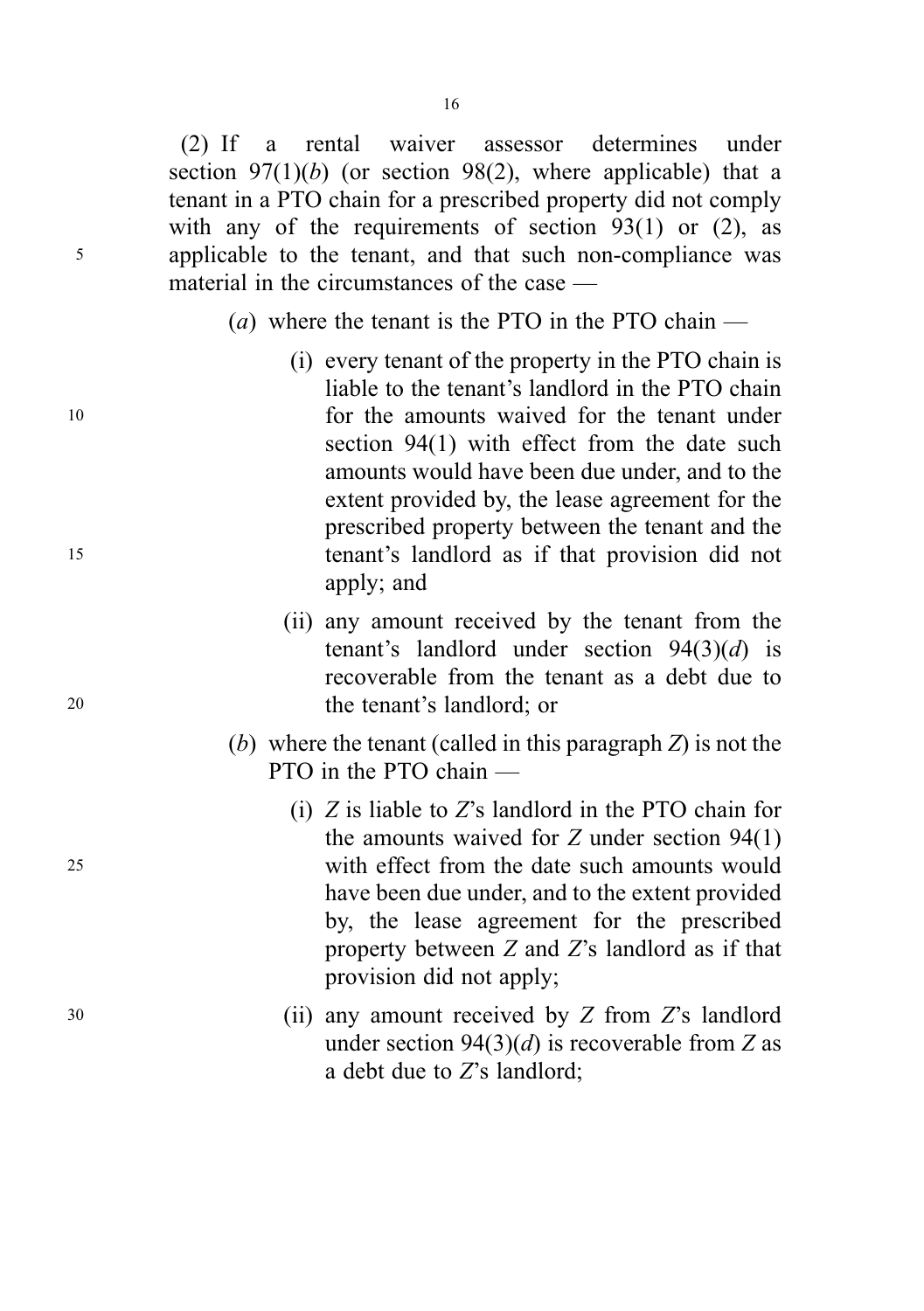16

(2) If a rental waiver assessor determines under section  $97(1)(b)$  (or section 98(2), where applicable) that a tenant in a PTO chain for a prescribed property did not comply with any of the requirements of section  $93(1)$  or  $(2)$ , as <sup>5</sup> applicable to the tenant, and that such non-compliance was material in the circumstances of the case —

- (*a*) where the tenant is the PTO in the PTO chain  $-$
- (i) every tenant of the property in the PTO chain is liable to the tenant's landlord in the PTO chain <sup>10</sup> for the amounts waived for the tenant under section 94(1) with effect from the date such amounts would have been due under, and to the extent provided by, the lease agreement for the prescribed property between the tenant and the <sup>15</sup> tenant's landlord as if that provision did not apply; and
- (ii) any amount received by the tenant from the tenant's landlord under section  $94(3)(d)$  is recoverable from the tenant as a debt due to <sup>20</sup> the tenant's landlord; or
	- (b) where the tenant (called in this paragraph  $Z$ ) is not the PTO in the PTO chain —
- (i) Z is liable to Z's landlord in the PTO chain for the amounts waived for  $Z$  under section  $94(1)$ <sup>25</sup> with effect from the date such amounts would have been due under, and to the extent provided by, the lease agreement for the prescribed property between Z and Z's landlord as if that provision did not apply;
- <sup>30</sup> (ii) any amount received by Z from Z's landlord under section  $94(3)(d)$  is recoverable from Z as a debt due to Z's landlord;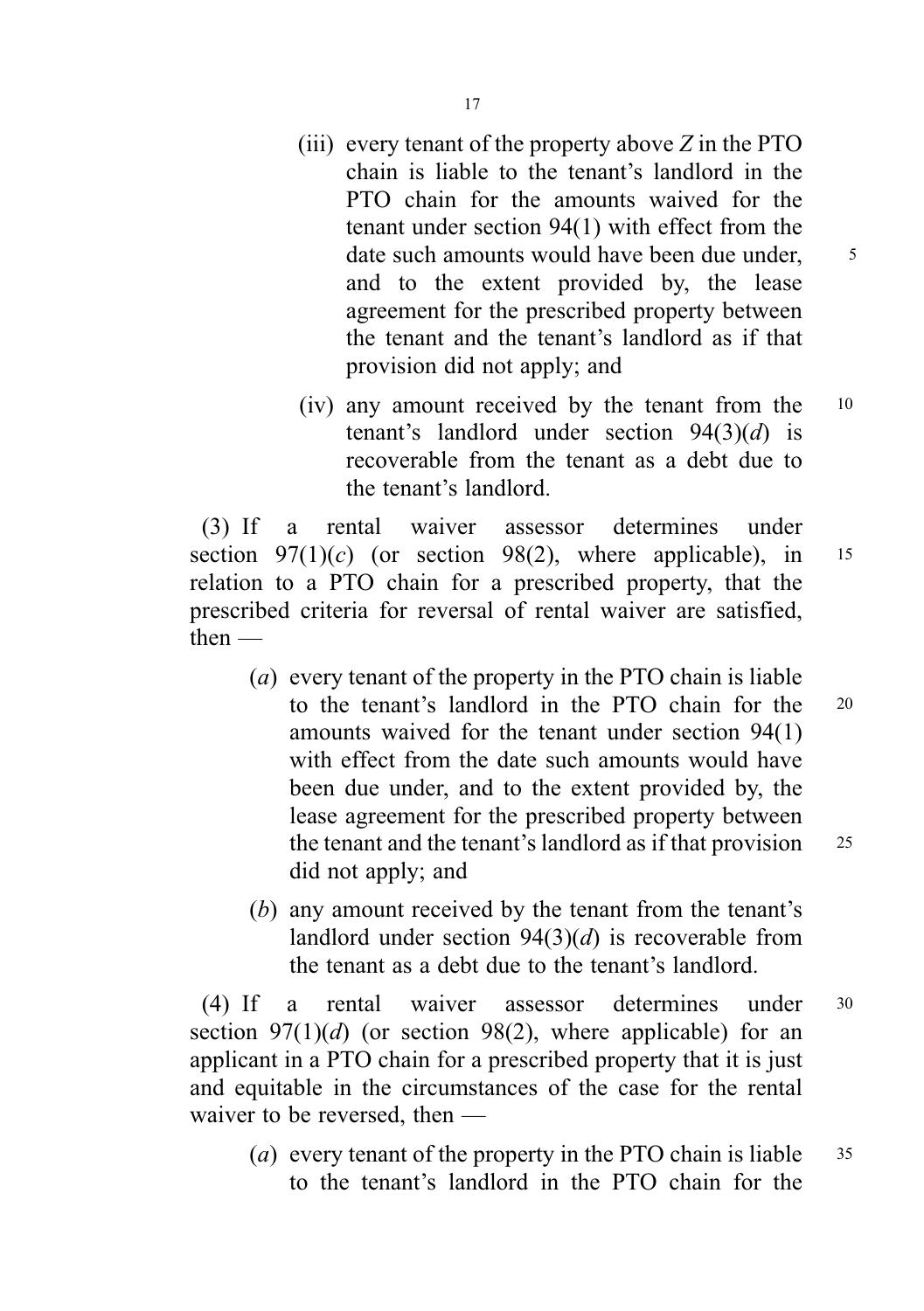- (iii) every tenant of the property above  $Z$  in the PTO chain is liable to the tenant's landlord in the PTO chain for the amounts waived for the tenant under section 94(1) with effect from the date such amounts would have been due under, 5 and to the extent provided by, the lease agreement for the prescribed property between the tenant and the tenant's landlord as if that provision did not apply; and
- (iv) any amount received by the tenant from the <sup>10</sup> tenant's landlord under section  $94(3)(d)$  is recoverable from the tenant as a debt due to the tenant's landlord.

(3) If a rental waiver assessor determines under section  $97(1)(c)$  (or section 98(2), where applicable), in 15 relation to a PTO chain for a prescribed property, that the prescribed criteria for reversal of rental waiver are satisfied, then —

- (a) every tenant of the property in the PTO chain is liable to the tenant's landlord in the PTO chain for the <sup>20</sup> amounts waived for the tenant under section 94(1) with effect from the date such amounts would have been due under, and to the extent provided by, the lease agreement for the prescribed property between the tenant and the tenant's landlord as if that provision 25 did not apply; and
- (b) any amount received by the tenant from the tenant's landlord under section  $94(3)(d)$  is recoverable from the tenant as a debt due to the tenant's landlord.

(4) If a rental waiver assessor determines under <sup>30</sup> section  $97(1)(d)$  (or section 98(2), where applicable) for an applicant in a PTO chain for a prescribed property that it is just and equitable in the circumstances of the case for the rental waiver to be reversed, then —

(*a*) every tenant of the property in the PTO chain is liable  $35$ to the tenant's landlord in the PTO chain for the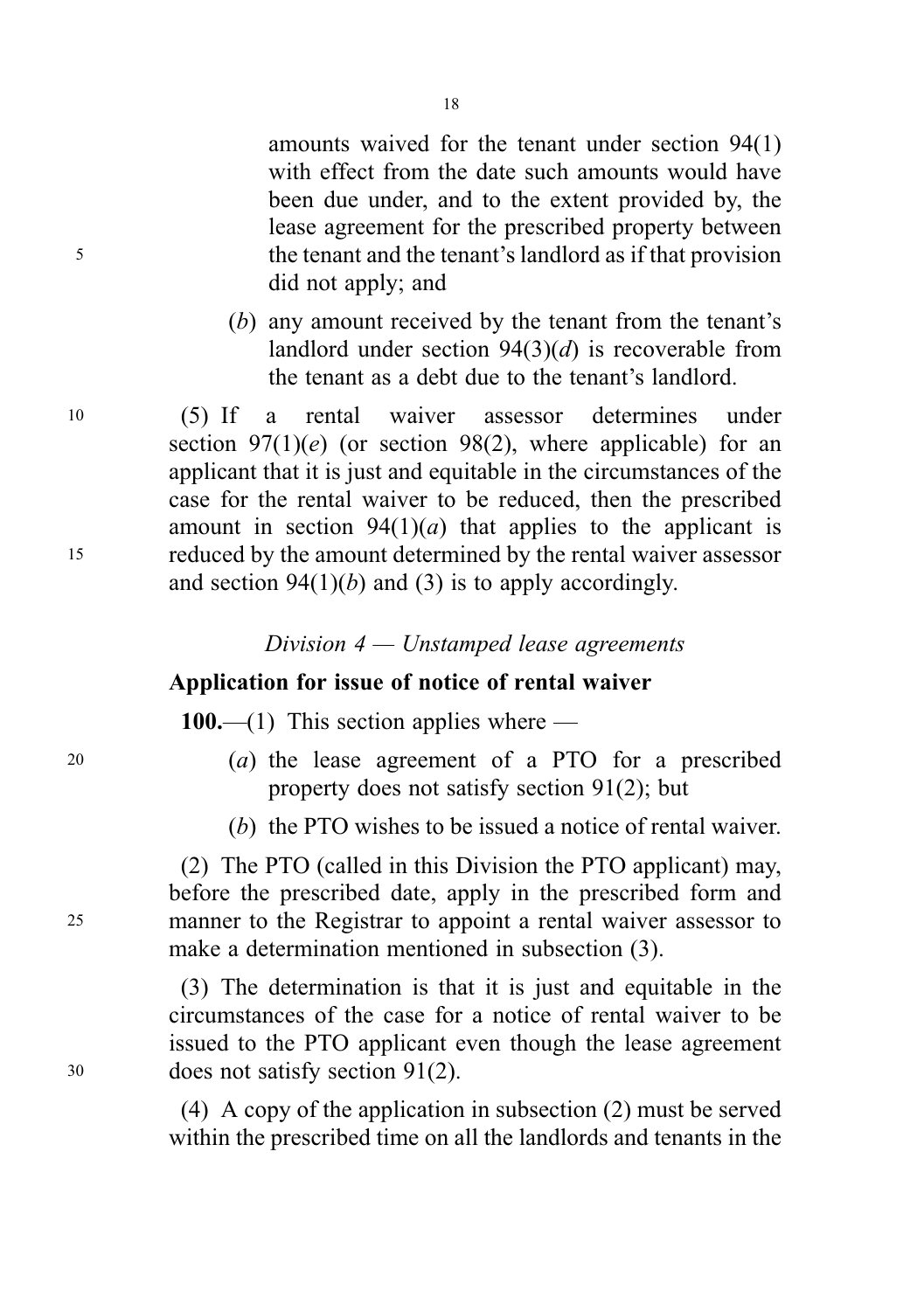amounts waived for the tenant under section 94(1) with effect from the date such amounts would have been due under, and to the extent provided by, the lease agreement for the prescribed property between <sup>5</sup> the tenant and the tenant's landlord as if that provision did not apply; and

> (b) any amount received by the tenant from the tenant's landlord under section  $94(3)(d)$  is recoverable from the tenant as a debt due to the tenant's landlord.

<sup>10</sup> (5) If a rental waiver assessor determines under section  $97(1)(e)$  (or section 98(2), where applicable) for an applicant that it is just and equitable in the circumstances of the case for the rental waiver to be reduced, then the prescribed amount in section  $94(1)(a)$  that applies to the applicant is <sup>15</sup> reduced by the amount determined by the rental waiver assessor and section  $94(1)(b)$  and (3) is to apply accordingly.

# Application for issue of notice of rental waiver

100.—(1) This section applies where —

- <sup>20</sup> (a) the lease agreement of a PTO for a prescribed property does not satisfy section 91(2); but
	- (b) the PTO wishes to be issued a notice of rental waiver.

(2) The PTO (called in this Division the PTO applicant) may, before the prescribed date, apply in the prescribed form and <sup>25</sup> manner to the Registrar to appoint a rental waiver assessor to make a determination mentioned in subsection (3).

(3) The determination is that it is just and equitable in the circumstances of the case for a notice of rental waiver to be issued to the PTO applicant even though the lease agreement <sup>30</sup> does not satisfy section 91(2).

> (4) A copy of the application in subsection (2) must be served within the prescribed time on all the landlords and tenants in the

Division 4 — Unstamped lease agreements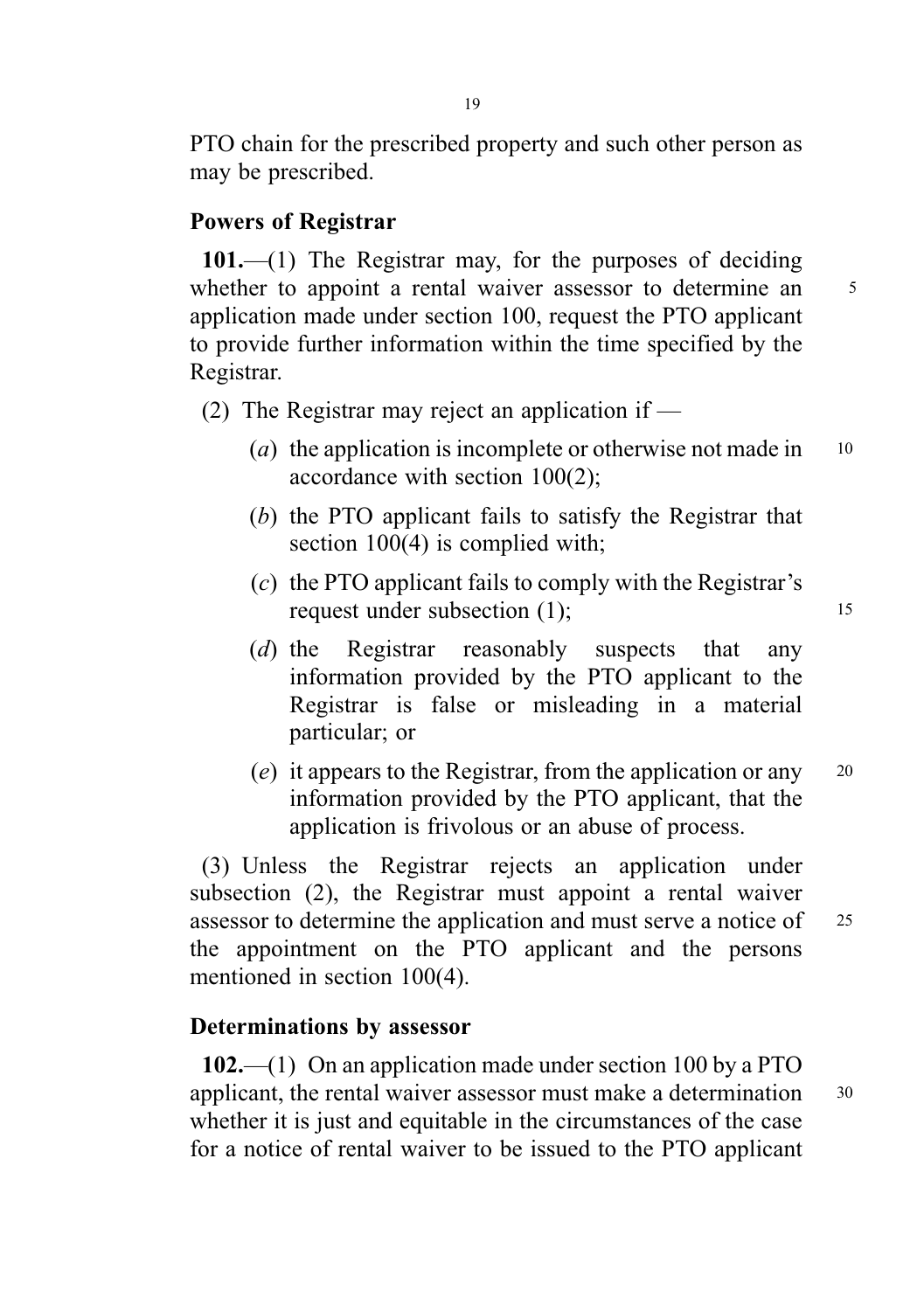PTO chain for the prescribed property and such other person as may be prescribed.

#### Powers of Registrar

101.—(1) The Registrar may, for the purposes of deciding whether to appoint a rental waiver assessor to determine an <sup>5</sup> application made under section 100, request the PTO applicant to provide further information within the time specified by the Registrar.

- (2) The Registrar may reject an application if  $-$ 
	- (a) the application is incomplete or otherwise not made in  $10$ accordance with section 100(2);
	- (b) the PTO applicant fails to satisfy the Registrar that section 100(4) is complied with;
	- (c) the PTO applicant fails to comply with the Registrar's request under subsection (1): 15
	- (d) the Registrar reasonably suspects that any information provided by the PTO applicant to the Registrar is false or misleading in a material particular; or
	- (e) it appears to the Registrar, from the application or any <sup>20</sup> information provided by the PTO applicant, that the application is frivolous or an abuse of process.

(3) Unless the Registrar rejects an application under subsection (2), the Registrar must appoint a rental waiver assessor to determine the application and must serve a notice of <sup>25</sup> the appointment on the PTO applicant and the persons mentioned in section 100(4).

## Determinations by assessor

102.—(1) On an application made under section 100 by a PTO applicant, the rental waiver assessor must make a determination 30 whether it is just and equitable in the circumstances of the case for a notice of rental waiver to be issued to the PTO applicant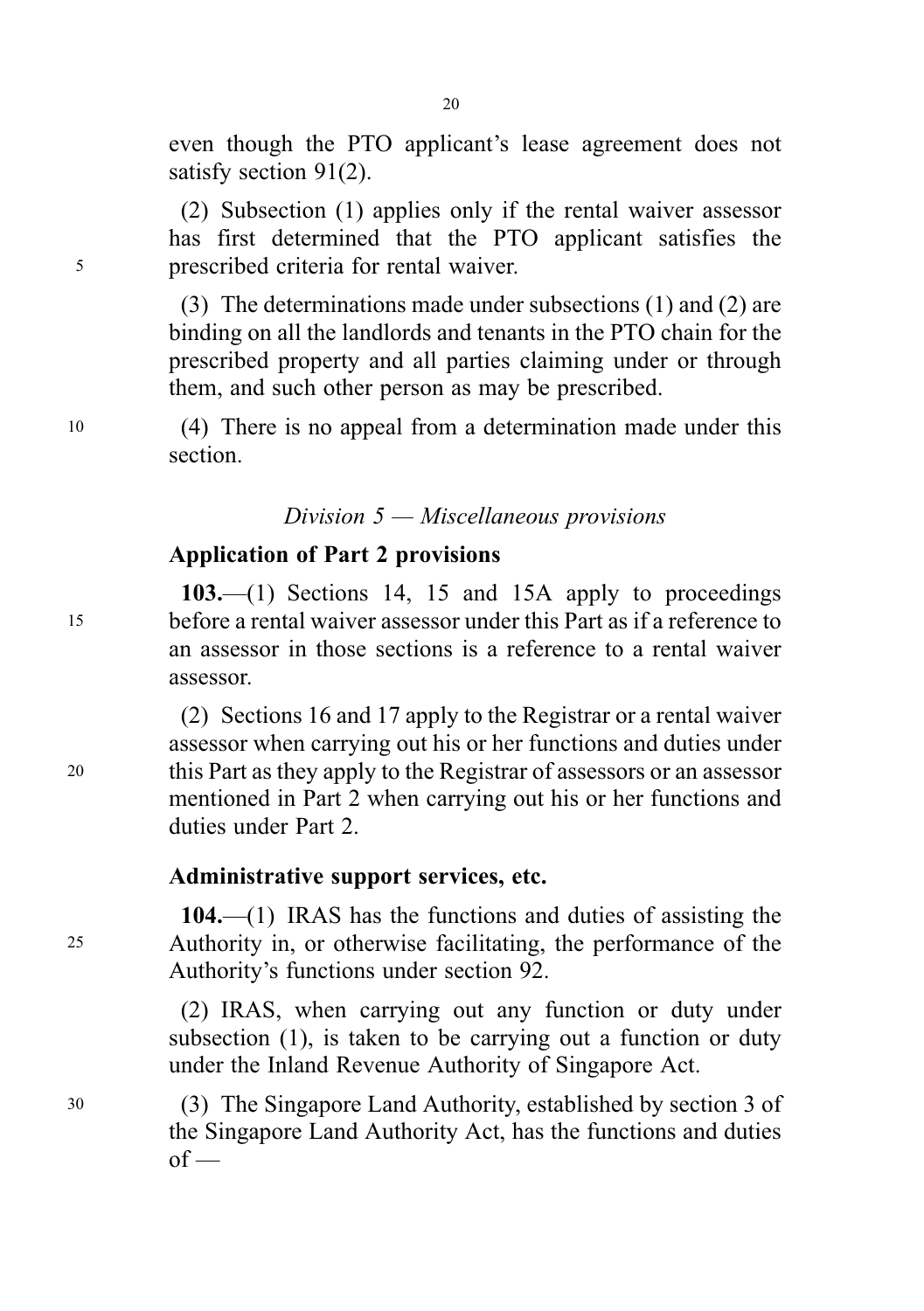even though the PTO applicant's lease agreement does not satisfy section 91(2).

(2) Subsection (1) applies only if the rental waiver assessor has first determined that the PTO applicant satisfies the <sup>5</sup> prescribed criteria for rental waiver.

> (3) The determinations made under subsections (1) and (2) are binding on all the landlords and tenants in the PTO chain for the prescribed property and all parties claiming under or through them, and such other person as may be prescribed.

<sup>10</sup> (4) There is no appeal from a determination made under this section.

# Division 5 — Miscellaneous provisions

### Application of Part 2 provisions

103.—(1) Sections 14, 15 and 15A apply to proceedings <sup>15</sup> before a rental waiver assessor under this Part as if a reference to an assessor in those sections is a reference to a rental waiver assessor.

(2) Sections 16 and 17 apply to the Registrar or a rental waiver assessor when carrying out his or her functions and duties under <sup>20</sup> this Part as they apply to the Registrar of assessors or an assessor mentioned in Part 2 when carrying out his or her functions and duties under Part 2.

#### Administrative support services, etc.

104.—(1) IRAS has the functions and duties of assisting the <sup>25</sup> Authority in, or otherwise facilitating, the performance of the Authority's functions under section 92.

> (2) IRAS, when carrying out any function or duty under subsection (1), is taken to be carrying out a function or duty under the Inland Revenue Authority of Singapore Act.

<sup>30</sup> (3) The Singapore Land Authority, established by section 3 of the Singapore Land Authority Act, has the functions and duties  $of$  —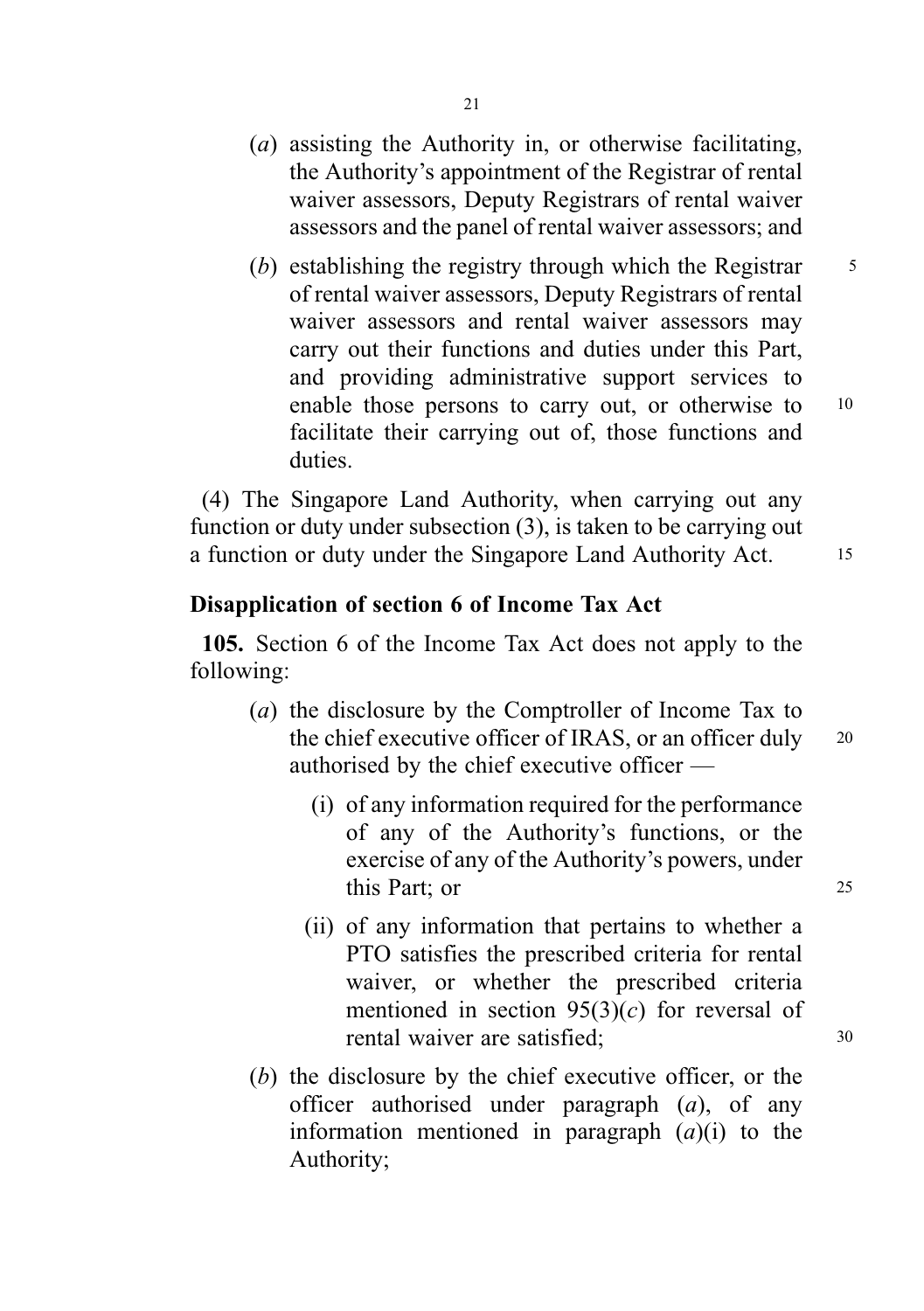- (a) assisting the Authority in, or otherwise facilitating, the Authority's appointment of the Registrar of rental waiver assessors, Deputy Registrars of rental waiver assessors and the panel of rental waiver assessors; and
- (b) establishing the registry through which the Registrar  $\frac{5}{5}$ of rental waiver assessors, Deputy Registrars of rental waiver assessors and rental waiver assessors may carry out their functions and duties under this Part, and providing administrative support services to enable those persons to carry out, or otherwise to 10 facilitate their carrying out of, those functions and duties.

(4) The Singapore Land Authority, when carrying out any function or duty under subsection (3), is taken to be carrying out a function or duty under the Singapore Land Authority Act. 15

#### Disapplication of section 6 of Income Tax Act

105. Section 6 of the Income Tax Act does not apply to the following:

- (a) the disclosure by the Comptroller of Income Tax to the chief executive officer of IRAS, or an officer duly 20 authorised by the chief executive officer —
	- (i) of any information required for the performance of any of the Authority's functions, or the exercise of any of the Authority's powers, under this Part; or 25
	- (ii) of any information that pertains to whether a PTO satisfies the prescribed criteria for rental waiver, or whether the prescribed criteria mentioned in section  $95(3)(c)$  for reversal of rental waiver are satisfied;  $30$
- (b) the disclosure by the chief executive officer, or the officer authorised under paragraph  $(a)$ , of any information mentioned in paragraph  $(a)(i)$  to the Authority;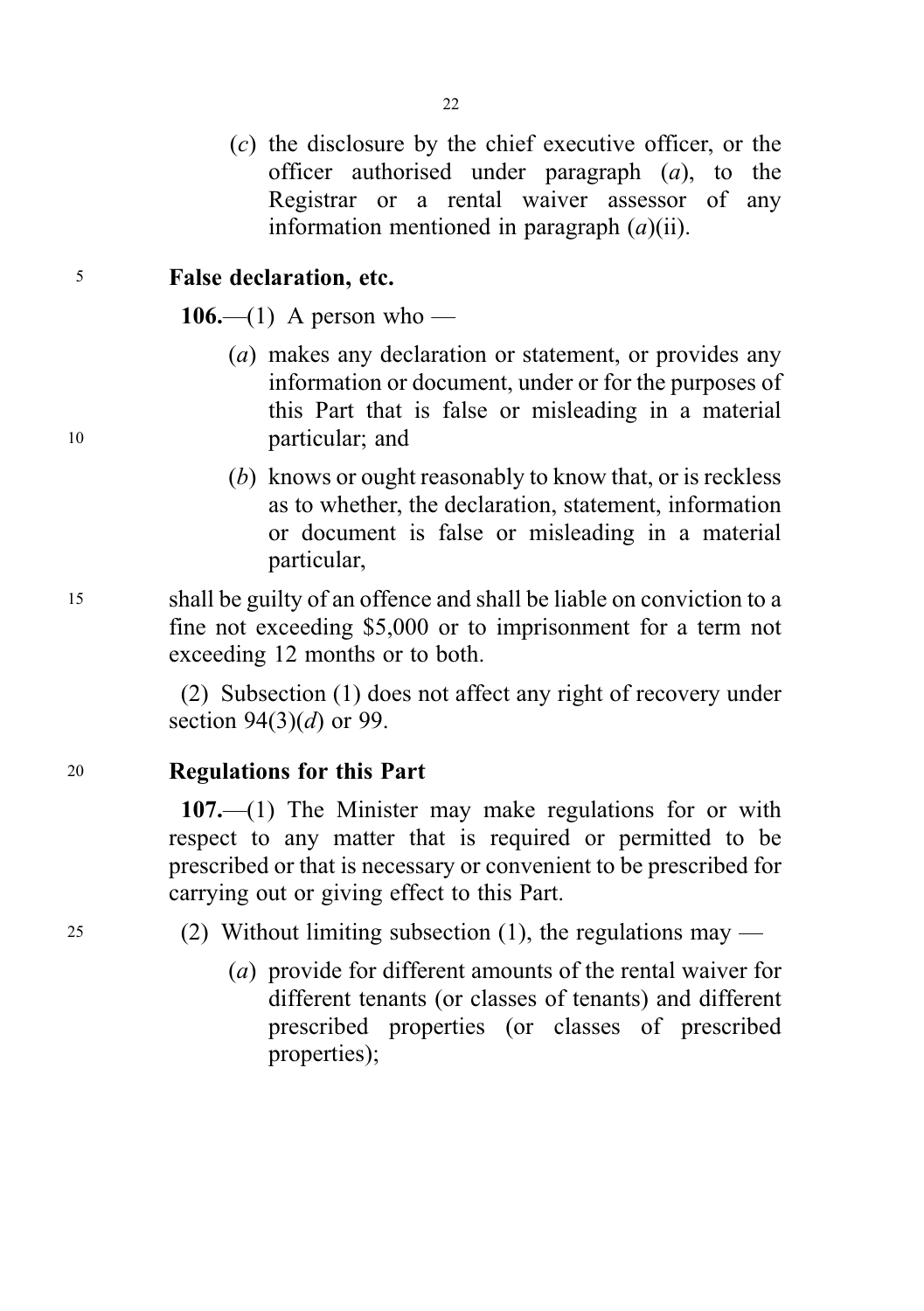(c) the disclosure by the chief executive officer, or the officer authorised under paragraph  $(a)$ , to the Registrar or a rental waiver assessor of any information mentioned in paragraph  $(a)(ii)$ .

 $22$ 

#### <sup>5</sup> False declaration, etc.

106.—(1) A person who —

- (a) makes any declaration or statement, or provides any information or document, under or for the purposes of this Part that is false or misleading in a material <sup>10</sup> particular; and
	- (b) knows or ought reasonably to know that, or is reckless as to whether, the declaration, statement, information or document is false or misleading in a material particular,
- <sup>15</sup> shall be guilty of an offence and shall be liable on conviction to a fine not exceeding \$5,000 or to imprisonment for a term not exceeding 12 months or to both.

(2) Subsection (1) does not affect any right of recovery under section  $94(3)(d)$  or 99.

<sup>20</sup> Regulations for this Part

107.—(1) The Minister may make regulations for or with respect to any matter that is required or permitted to be prescribed or that is necessary or convenient to be prescribed for carrying out or giving effect to this Part.

<sup>25</sup> (2) Without limiting subsection (1), the regulations may —

(a) provide for different amounts of the rental waiver for different tenants (or classes of tenants) and different prescribed properties (or classes of prescribed properties);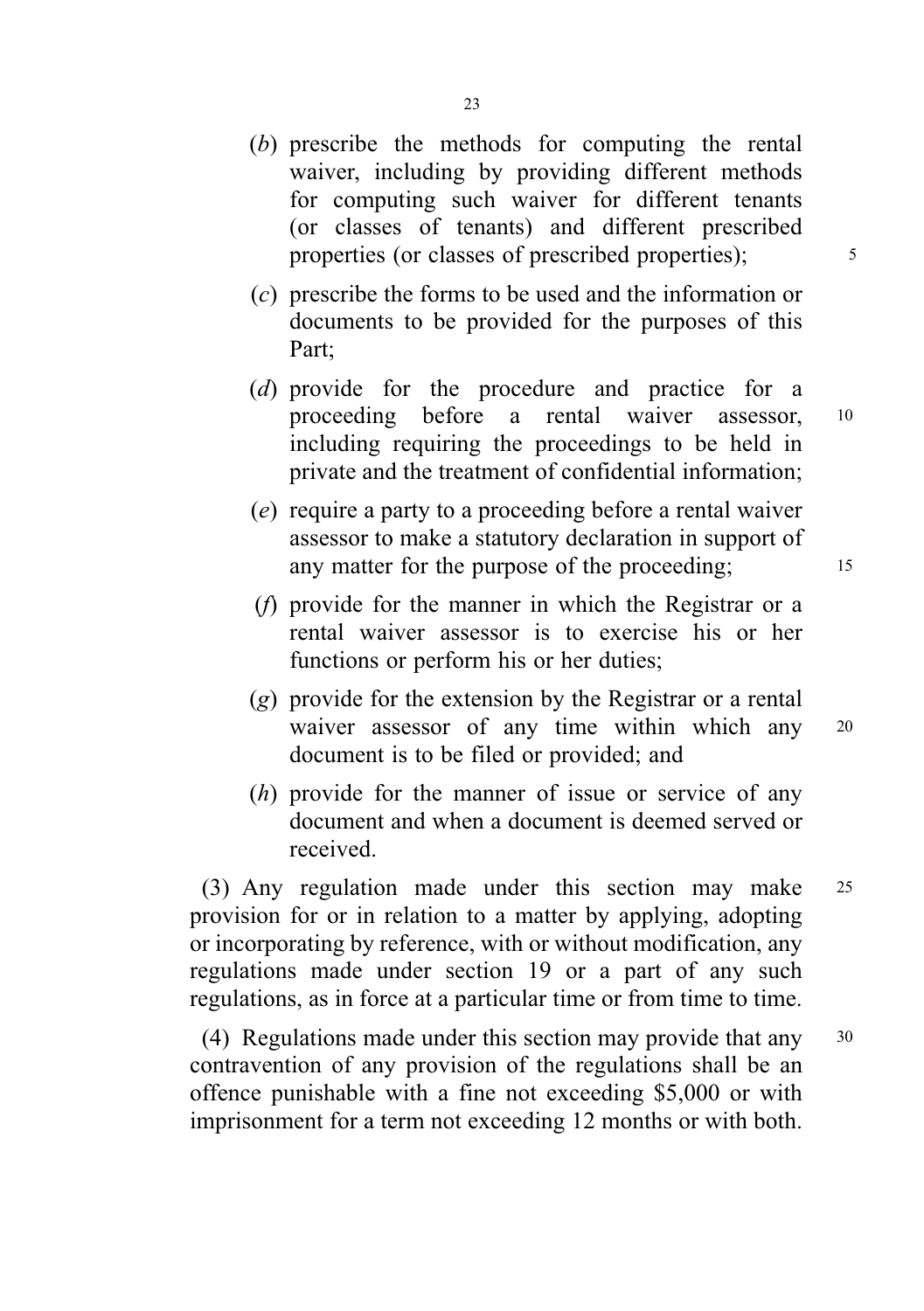- (b) prescribe the methods for computing the rental waiver, including by providing different methods for computing such waiver for different tenants (or classes of tenants) and different prescribed properties (or classes of prescribed properties);  $\frac{5}{100}$
- (c) prescribe the forms to be used and the information or documents to be provided for the purposes of this Part;
- (d) provide for the procedure and practice for a proceeding before a rental waiver assessor, <sup>10</sup> including requiring the proceedings to be held in private and the treatment of confidential information;
- (e) require a party to a proceeding before a rental waiver assessor to make a statutory declaration in support of any matter for the purpose of the proceeding; 15
- (f) provide for the manner in which the Registrar or a rental waiver assessor is to exercise his or her functions or perform his or her duties;
- (g) provide for the extension by the Registrar or a rental waiver assessor of any time within which any 20 document is to be filed or provided; and
- (h) provide for the manner of issue or service of any document and when a document is deemed served or received.

(3) Any regulation made under this section may make <sup>25</sup> provision for or in relation to a matter by applying, adopting or incorporating by reference, with or without modification, any regulations made under section 19 or a part of any such regulations, as in force at a particular time or from time to time.

(4) Regulations made under this section may provide that any <sup>30</sup> contravention of any provision of the regulations shall be an offence punishable with a fine not exceeding \$5,000 or with imprisonment for a term not exceeding 12 months or with both.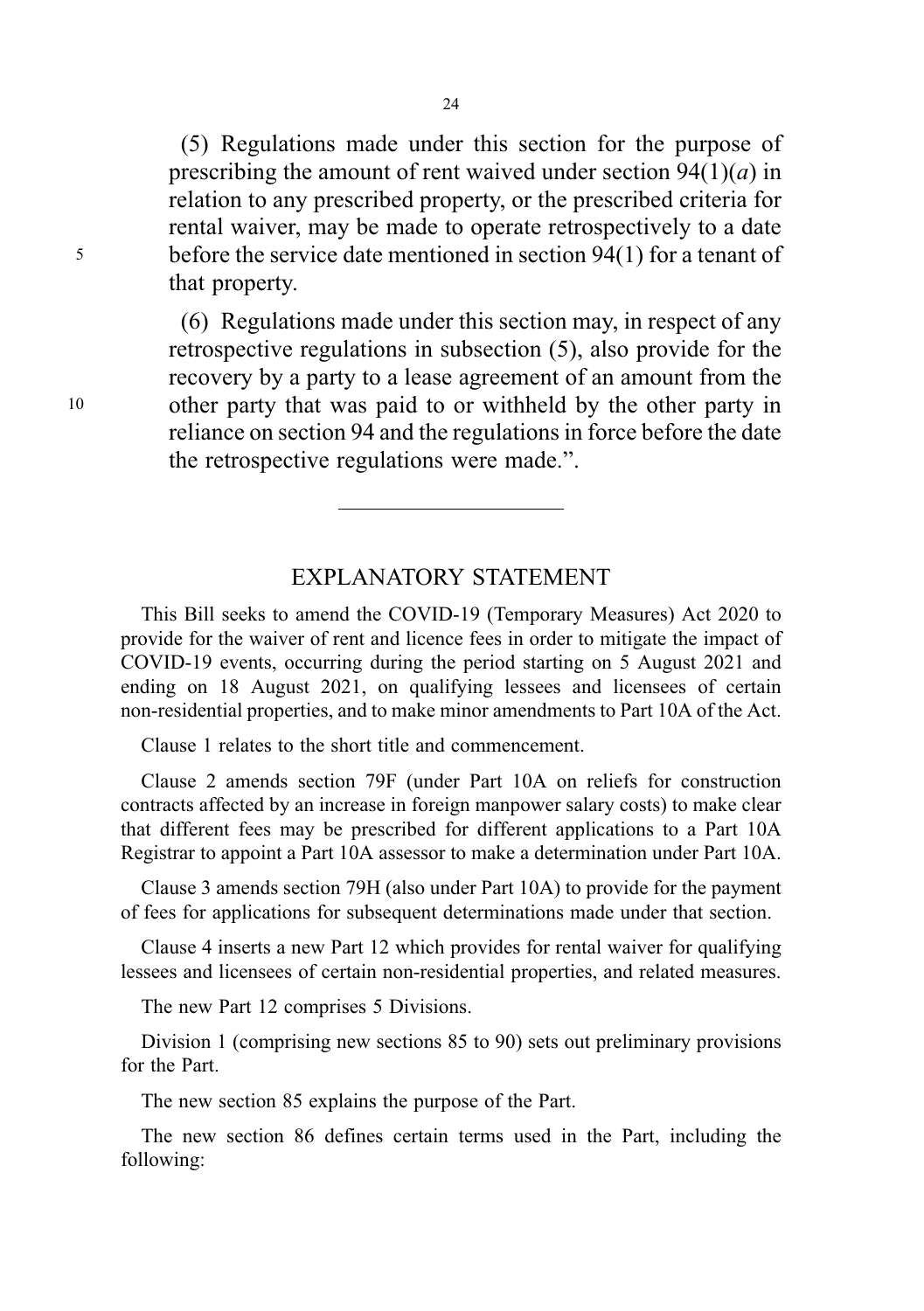(5) Regulations made under this section for the purpose of prescribing the amount of rent waived under section  $94(1)(a)$  in relation to any prescribed property, or the prescribed criteria for rental waiver, may be made to operate retrospectively to a date <sup>5</sup> before the service date mentioned in section 94(1) for a tenant of that property.

(6) Regulations made under this section may, in respect of any retrospective regulations in subsection (5), also provide for the recovery by a party to a lease agreement of an amount from the <sup>10</sup> other party that was paid to or withheld by the other party in reliance on section 94 and the regulations in force before the date the retrospective regulations were made.".

# EXPLANATORY STATEMENT

This Bill seeks to amend the COVID-19 (Temporary Measures) Act 2020 to provide for the waiver of rent and licence fees in order to mitigate the impact of COVID-19 events, occurring during the period starting on 5 August 2021 and ending on 18 August 2021, on qualifying lessees and licensees of certain non-residential properties, and to make minor amendments to Part 10A of the Act.

Clause 1 relates to the short title and commencement.

Clause 2 amends section 79F (under Part 10A on reliefs for construction contracts affected by an increase in foreign manpower salary costs) to make clear that different fees may be prescribed for different applications to a Part 10A Registrar to appoint a Part 10A assessor to make a determination under Part 10A.

Clause 3 amends section 79H (also under Part 10A) to provide for the payment of fees for applications for subsequent determinations made under that section.

Clause 4 inserts a new Part 12 which provides for rental waiver for qualifying lessees and licensees of certain non-residential properties, and related measures.

The new Part 12 comprises 5 Divisions.

Division 1 (comprising new sections 85 to 90) sets out preliminary provisions for the Part.

The new section 85 explains the purpose of the Part.

The new section 86 defines certain terms used in the Part, including the following: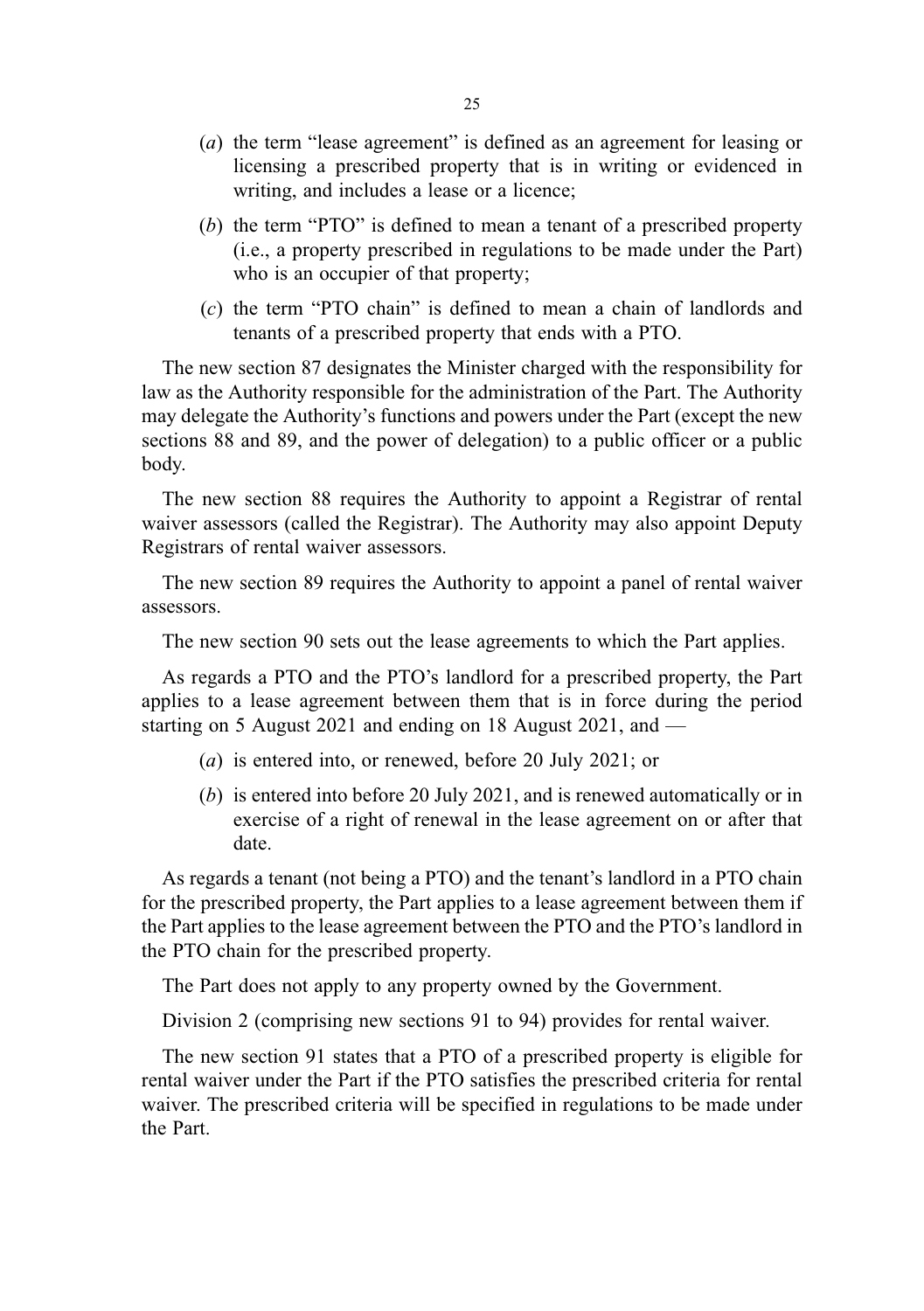- (a) the term "lease agreement" is defined as an agreement for leasing or licensing a prescribed property that is in writing or evidenced in writing, and includes a lease or a licence;
- (b) the term "PTO" is defined to mean a tenant of a prescribed property (i.e., a property prescribed in regulations to be made under the Part) who is an occupier of that property;
- (c) the term "PTO chain" is defined to mean a chain of landlords and tenants of a prescribed property that ends with a PTO.

The new section 87 designates the Minister charged with the responsibility for law as the Authority responsible for the administration of the Part. The Authority may delegate the Authority's functions and powers under the Part (except the new sections 88 and 89, and the power of delegation) to a public officer or a public body.

The new section 88 requires the Authority to appoint a Registrar of rental waiver assessors (called the Registrar). The Authority may also appoint Deputy Registrars of rental waiver assessors.

The new section 89 requires the Authority to appoint a panel of rental waiver assessors.

The new section 90 sets out the lease agreements to which the Part applies.

As regards a PTO and the PTO's landlord for a prescribed property, the Part applies to a lease agreement between them that is in force during the period starting on 5 August 2021 and ending on 18 August 2021, and —

- (a) is entered into, or renewed, before 20 July 2021; or
- (b) is entered into before 20 July 2021, and is renewed automatically or in exercise of a right of renewal in the lease agreement on or after that date.

As regards a tenant (not being a PTO) and the tenant's landlord in a PTO chain for the prescribed property, the Part applies to a lease agreement between them if the Part applies to the lease agreement between the PTO and the PTO's landlord in the PTO chain for the prescribed property.

The Part does not apply to any property owned by the Government.

Division 2 (comprising new sections 91 to 94) provides for rental waiver.

The new section 91 states that a PTO of a prescribed property is eligible for rental waiver under the Part if the PTO satisfies the prescribed criteria for rental waiver. The prescribed criteria will be specified in regulations to be made under the Part.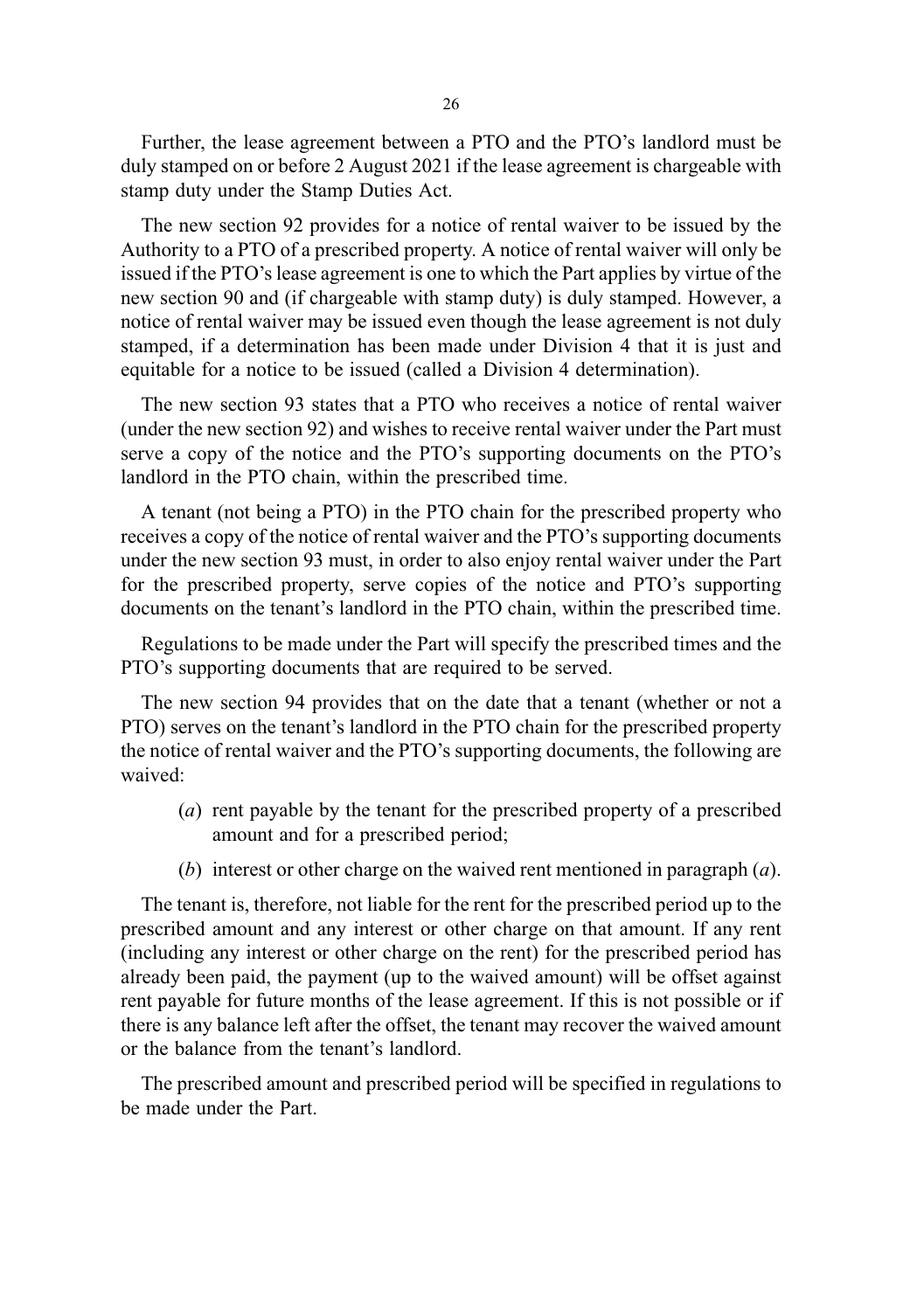Further, the lease agreement between a PTO and the PTO's landlord must be duly stamped on or before 2 August 2021 if the lease agreement is chargeable with stamp duty under the Stamp Duties Act.

The new section 92 provides for a notice of rental waiver to be issued by the Authority to a PTO of a prescribed property. A notice of rental waiver will only be issued if the PTO's lease agreement is one to which the Part applies by virtue of the new section 90 and (if chargeable with stamp duty) is duly stamped. However, a notice of rental waiver may be issued even though the lease agreement is not duly stamped, if a determination has been made under Division 4 that it is just and equitable for a notice to be issued (called a Division 4 determination).

The new section 93 states that a PTO who receives a notice of rental waiver (under the new section 92) and wishes to receive rental waiver under the Part must serve a copy of the notice and the PTO's supporting documents on the PTO's landlord in the PTO chain, within the prescribed time.

A tenant (not being a PTO) in the PTO chain for the prescribed property who receives a copy of the notice of rental waiver and the PTO's supporting documents under the new section 93 must, in order to also enjoy rental waiver under the Part for the prescribed property, serve copies of the notice and PTO's supporting documents on the tenant's landlord in the PTO chain, within the prescribed time.

Regulations to be made under the Part will specify the prescribed times and the PTO's supporting documents that are required to be served.

The new section 94 provides that on the date that a tenant (whether or not a PTO) serves on the tenant's landlord in the PTO chain for the prescribed property the notice of rental waiver and the PTO's supporting documents, the following are waived:

- (a) rent payable by the tenant for the prescribed property of a prescribed amount and for a prescribed period;
- (b) interest or other charge on the waived rent mentioned in paragraph  $(a)$ .

The tenant is, therefore, not liable for the rent for the prescribed period up to the prescribed amount and any interest or other charge on that amount. If any rent (including any interest or other charge on the rent) for the prescribed period has already been paid, the payment (up to the waived amount) will be offset against rent payable for future months of the lease agreement. If this is not possible or if there is any balance left after the offset, the tenant may recover the waived amount or the balance from the tenant's landlord.

The prescribed amount and prescribed period will be specified in regulations to be made under the Part.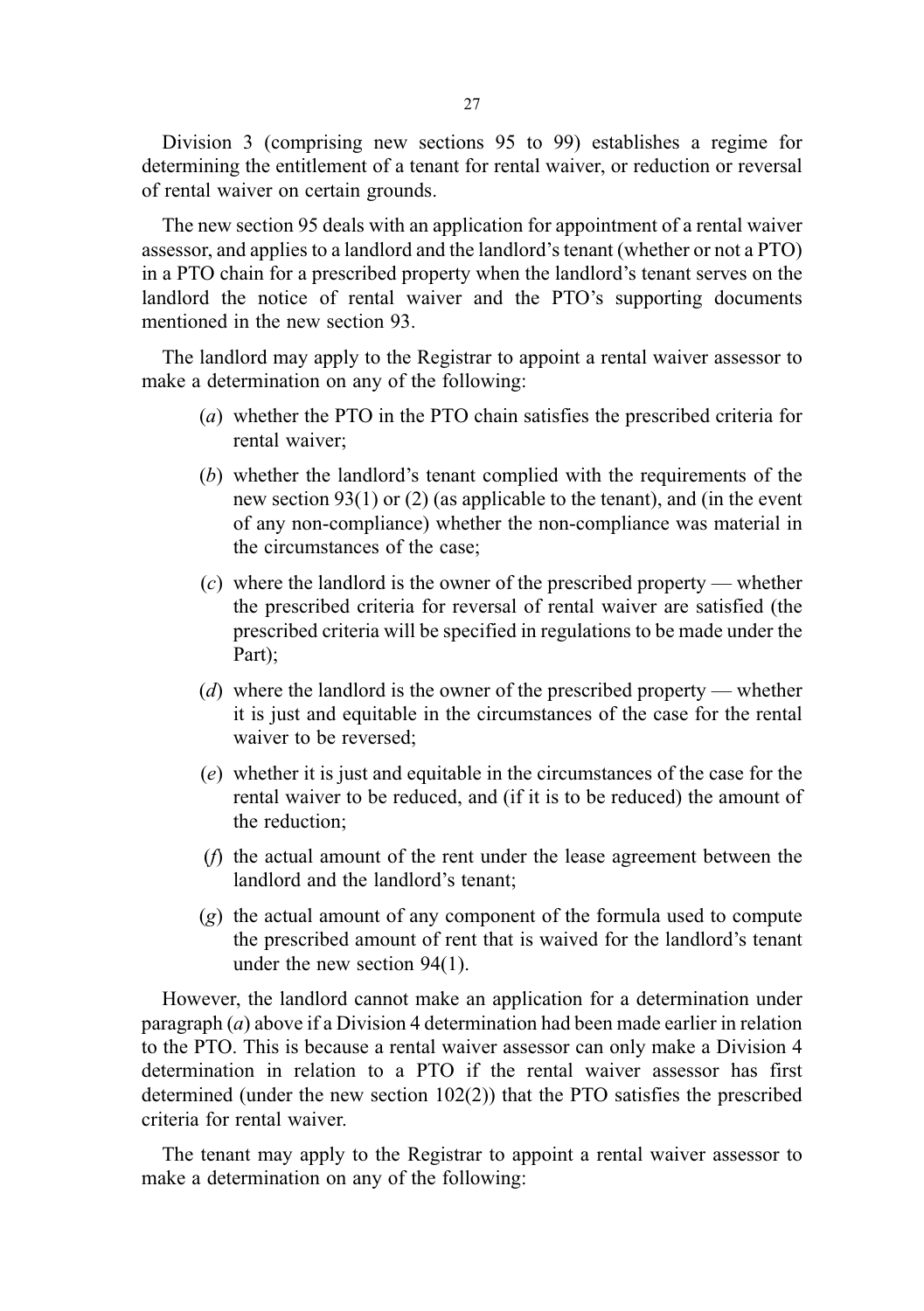Division 3 (comprising new sections 95 to 99) establishes a regime for determining the entitlement of a tenant for rental waiver, or reduction or reversal of rental waiver on certain grounds.

The new section 95 deals with an application for appointment of a rental waiver assessor, and applies to a landlord and the landlord's tenant (whether or not a PTO) in a PTO chain for a prescribed property when the landlord's tenant serves on the landlord the notice of rental waiver and the PTO's supporting documents mentioned in the new section 93.

The landlord may apply to the Registrar to appoint a rental waiver assessor to make a determination on any of the following:

- (a) whether the PTO in the PTO chain satisfies the prescribed criteria for rental waiver;
- (b) whether the landlord's tenant complied with the requirements of the new section 93(1) or (2) (as applicable to the tenant), and (in the event of any non-compliance) whether the non-compliance was material in the circumstances of the case;
- $(c)$  where the landlord is the owner of the prescribed property whether the prescribed criteria for reversal of rental waiver are satisfied (the prescribed criteria will be specified in regulations to be made under the Part);
- (d) where the landlord is the owner of the prescribed property whether it is just and equitable in the circumstances of the case for the rental waiver to be reversed;
- (e) whether it is just and equitable in the circumstances of the case for the rental waiver to be reduced, and (if it is to be reduced) the amount of the reduction;
- (f) the actual amount of the rent under the lease agreement between the landlord and the landlord's tenant;
- (g) the actual amount of any component of the formula used to compute the prescribed amount of rent that is waived for the landlord's tenant under the new section 94(1).

However, the landlord cannot make an application for a determination under paragraph  $(a)$  above if a Division 4 determination had been made earlier in relation to the PTO. This is because a rental waiver assessor can only make a Division 4 determination in relation to a PTO if the rental waiver assessor has first determined (under the new section  $102(2)$ ) that the PTO satisfies the prescribed criteria for rental waiver.

The tenant may apply to the Registrar to appoint a rental waiver assessor to make a determination on any of the following: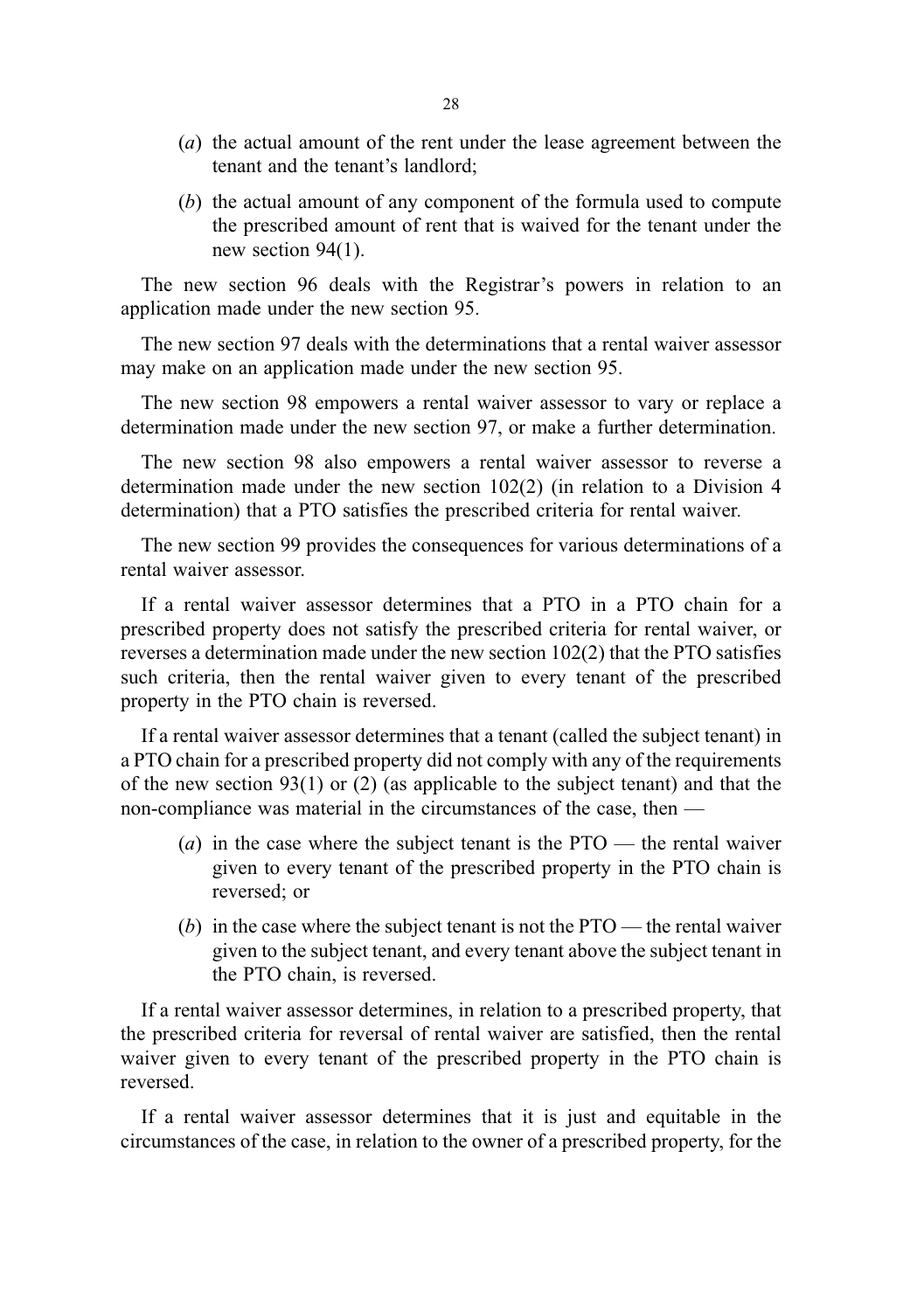- (a) the actual amount of the rent under the lease agreement between the tenant and the tenant's landlord;
- (b) the actual amount of any component of the formula used to compute the prescribed amount of rent that is waived for the tenant under the new section 94(1).

The new section 96 deals with the Registrar's powers in relation to an application made under the new section 95.

The new section 97 deals with the determinations that a rental waiver assessor may make on an application made under the new section 95.

The new section 98 empowers a rental waiver assessor to vary or replace a determination made under the new section 97, or make a further determination.

The new section 98 also empowers a rental waiver assessor to reverse a determination made under the new section 102(2) (in relation to a Division 4 determination) that a PTO satisfies the prescribed criteria for rental waiver.

The new section 99 provides the consequences for various determinations of a rental waiver assessor.

If a rental waiver assessor determines that a PTO in a PTO chain for a prescribed property does not satisfy the prescribed criteria for rental waiver, or reverses a determination made under the new section 102(2) that the PTO satisfies such criteria, then the rental waiver given to every tenant of the prescribed property in the PTO chain is reversed.

If a rental waiver assessor determines that a tenant (called the subject tenant) in a PTO chain for a prescribed property did not comply with any of the requirements of the new section 93(1) or (2) (as applicable to the subject tenant) and that the non-compliance was material in the circumstances of the case, then —

- (a) in the case where the subject tenant is the  $PTO$  the rental waiver given to every tenant of the prescribed property in the PTO chain is reversed; or
- (b) in the case where the subject tenant is not the  $PTO$  the rental waiver given to the subject tenant, and every tenant above the subject tenant in the PTO chain, is reversed.

If a rental waiver assessor determines, in relation to a prescribed property, that the prescribed criteria for reversal of rental waiver are satisfied, then the rental waiver given to every tenant of the prescribed property in the PTO chain is reversed.

If a rental waiver assessor determines that it is just and equitable in the circumstances of the case, in relation to the owner of a prescribed property, for the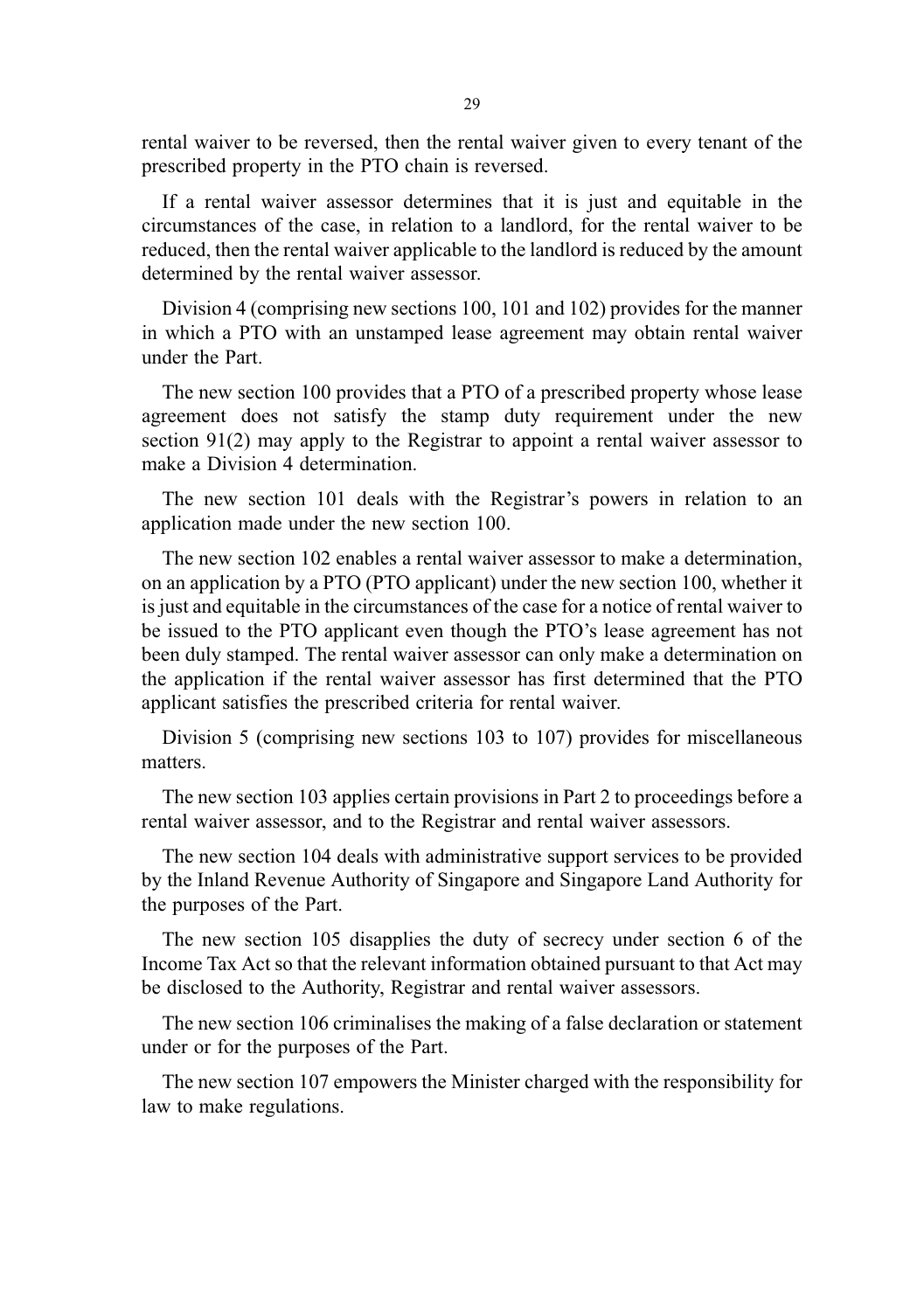rental waiver to be reversed, then the rental waiver given to every tenant of the prescribed property in the PTO chain is reversed.

If a rental waiver assessor determines that it is just and equitable in the circumstances of the case, in relation to a landlord, for the rental waiver to be reduced, then the rental waiver applicable to the landlord is reduced by the amount determined by the rental waiver assessor.

Division 4 (comprising new sections 100, 101 and 102) provides for the manner in which a PTO with an unstamped lease agreement may obtain rental waiver under the Part.

The new section 100 provides that a PTO of a prescribed property whose lease agreement does not satisfy the stamp duty requirement under the new section 91(2) may apply to the Registrar to appoint a rental waiver assessor to make a Division 4 determination.

The new section 101 deals with the Registrar's powers in relation to an application made under the new section 100.

The new section 102 enables a rental waiver assessor to make a determination, on an application by a PTO (PTO applicant) under the new section 100, whether it is just and equitable in the circumstances of the case for a notice of rental waiver to be issued to the PTO applicant even though the PTO's lease agreement has not been duly stamped. The rental waiver assessor can only make a determination on the application if the rental waiver assessor has first determined that the PTO applicant satisfies the prescribed criteria for rental waiver.

Division 5 (comprising new sections 103 to 107) provides for miscellaneous matters.

The new section 103 applies certain provisions in Part 2 to proceedings before a rental waiver assessor, and to the Registrar and rental waiver assessors.

The new section 104 deals with administrative support services to be provided by the Inland Revenue Authority of Singapore and Singapore Land Authority for the purposes of the Part.

The new section 105 disapplies the duty of secrecy under section 6 of the Income Tax Act so that the relevant information obtained pursuant to that Act may be disclosed to the Authority, Registrar and rental waiver assessors.

The new section 106 criminalises the making of a false declaration or statement under or for the purposes of the Part.

The new section 107 empowers the Minister charged with the responsibility for law to make regulations.